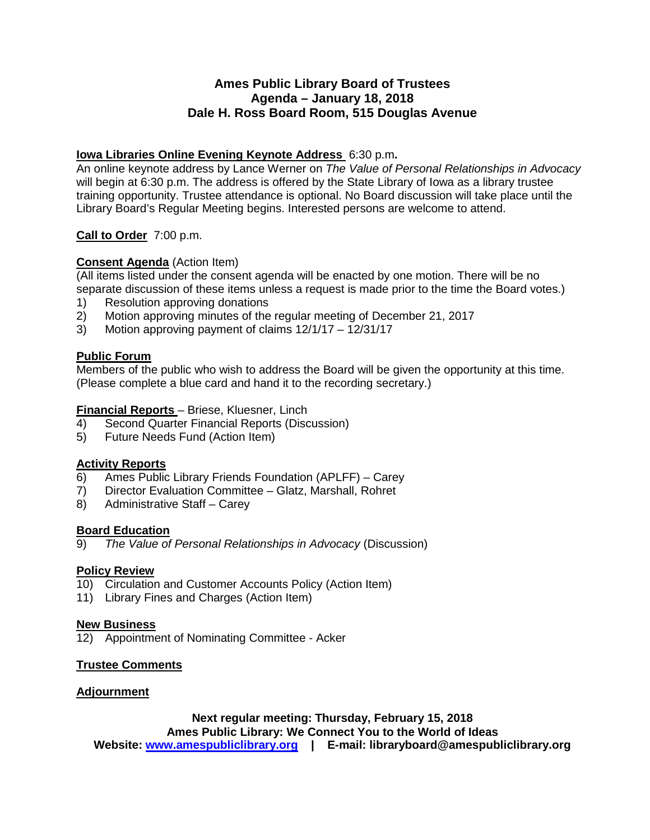#### **Ames Public Library Board of Trustees Agenda – January 18, 2018 Dale H. Ross Board Room, 515 Douglas Avenue**

#### **Iowa Libraries Online Evening Keynote Address** 6:30 p.m**.**

An online keynote address by Lance Werner on *The Value of Personal Relationships in Advocacy* will begin at 6:30 p.m. The address is offered by the State Library of Iowa as a library trustee training opportunity. Trustee attendance is optional. No Board discussion will take place until the Library Board's Regular Meeting begins. Interested persons are welcome to attend.

#### **Call to Order** 7:00 p.m.

#### **Consent Agenda** (Action Item)

(All items listed under the consent agenda will be enacted by one motion. There will be no separate discussion of these items unless a request is made prior to the time the Board votes.)

- 1) Resolution approving donations<br>2) Motion approving minutes of the
- 2) Motion approving minutes of the regular meeting of December 21, 2017
- 3) Motion approving payment of claims 12/1/17 12/31/17

#### **Public Forum**

Members of the public who wish to address the Board will be given the opportunity at this time. (Please complete a blue card and hand it to the recording secretary.)

## **Financial Reports** – Briese, Kluesner, Linch<br>4) Second Quarter Financial Reports (Disc

- 4) Second Quarter Financial Reports (Discussion)
- 5) Future Needs Fund (Action Item)

#### **Activity Reports**

- 6) Ames Public Library Friends Foundation (APLFF) Carey
- 7) Director Evaluation Committee Glatz, Marshall, Rohret
- 8) Administrative Staff Carey

## **Board Education**<br>9) The Value of

9) *The Value of Personal Relationships in Advocacy* (Discussion)

#### **Policy Review**

- 10) Circulation and Customer Accounts Policy (Action Item)
- 11) Library Fines and Charges (Action Item)

#### **New Business**

12) Appointment of Nominating Committee - Acker

#### **Trustee Comments**

#### **Adjournment**

**Next regular meeting: Thursday, February 15, 2018 Ames Public Library: We Connect You to the World of Ideas Website: [www.amespubliclibrary.org](http://www.amespubliclibrary.org/) | E-mail: libraryboard@amespubliclibrary.org**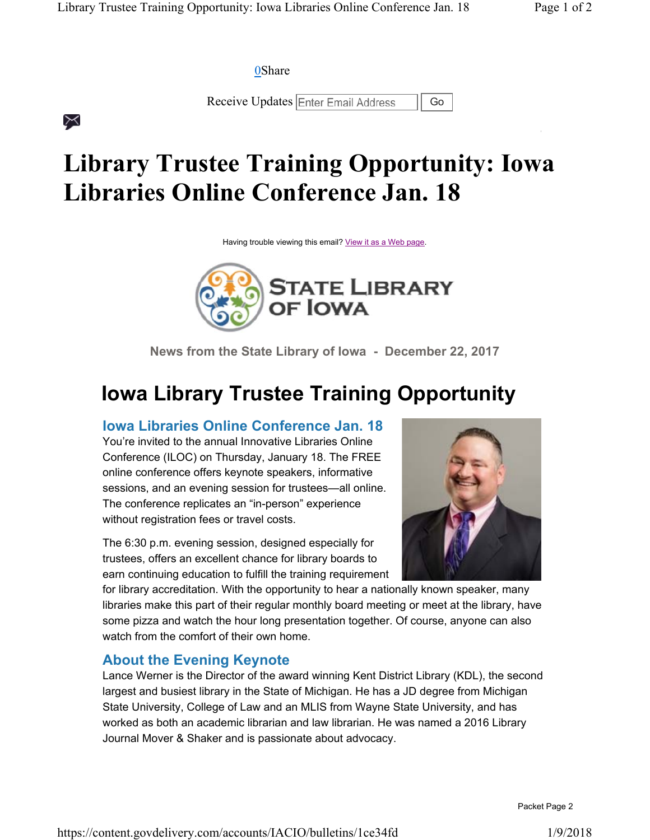**0Share** 

 $\asymp$ 

Receive Updates Enter Email Address | Go

# **Library Trustee Training Opportunity: Iowa Libraries Online Conference Jan. 18**

Having trouble viewing this email? View it as a Web page.



**News from the State Library of Iowa - December 22, 2017**

## **Iowa Library Trustee Training Opportunity**

**Iowa Libraries Online Conference Jan. 18**

You're invited to the annual Innovative Libraries Online Conference (ILOC) on Thursday, January 18. The FREE online conference offers keynote speakers, informative sessions, and an evening session for trustees—all online. The conference replicates an "in-person" experience without registration fees or travel costs.

The 6:30 p.m. evening session, designed especially for trustees, offers an excellent chance for library boards to earn continuing education to fulfill the training requirement



for library accreditation. With the opportunity to hear a nationally known speaker, many libraries make this part of their regular monthly board meeting or meet at the library, have some pizza and watch the hour long presentation together. Of course, anyone can also watch from the comfort of their own home.

### **About the Evening Keynote**

Lance Werner is the Director of the award winning Kent District Library (KDL), the second largest and busiest library in the State of Michigan. He has a JD degree from Michigan State University, College of Law and an MLIS from Wayne State University, and has worked as both an academic librarian and law librarian. He was named a 2016 Library Journal Mover & Shaker and is passionate about advocacy.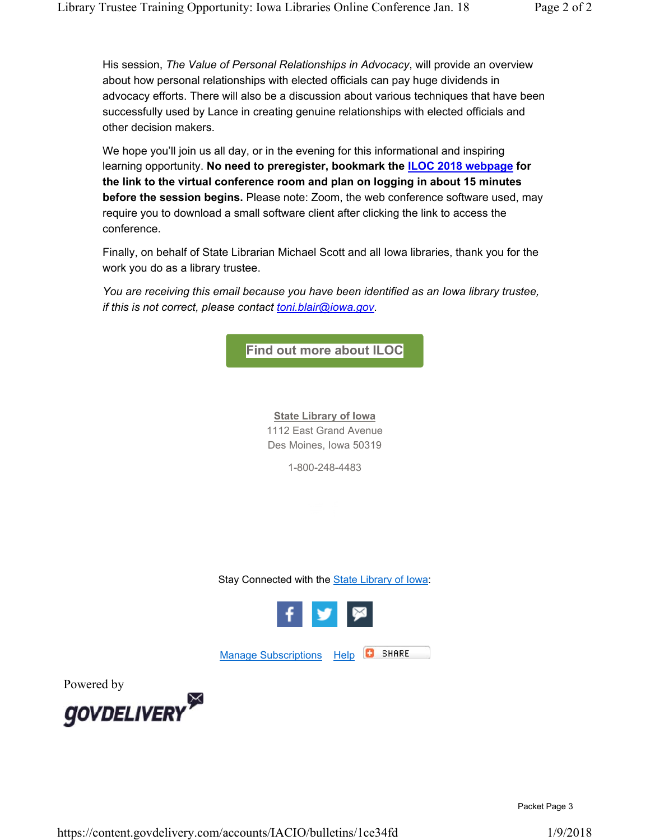His session, *The Value of Personal Relationships in Advocacy*, will provide an overview about how personal relationships with elected officials can pay huge dividends in advocacy efforts. There will also be a discussion about various techniques that have been successfully used by Lance in creating genuine relationships with elected officials and other decision makers.

We hope you'll join us all day, or in the evening for this informational and inspiring learning opportunity. **No need to preregister, bookmark the ILOC 2018 webpage for the link to the virtual conference room and plan on logging in about 15 minutes before the session begins.** Please note: Zoom, the web conference software used, may require you to download a small software client after clicking the link to access the conference.

Finally, on behalf of State Librarian Michael Scott and all Iowa libraries, thank you for the work you do as a library trustee.

*You are receiving this email because you have been identified as an Iowa library trustee, if this is not correct, please contact toni.blair@iowa.gov.*



**State Library of Iowa** 1112 East Grand Avenue Des Moines, Iowa 50319

1-800-248-4483

Stay Connected with the State Library of Iowa:



Manage Subscriptions Help



Powered by

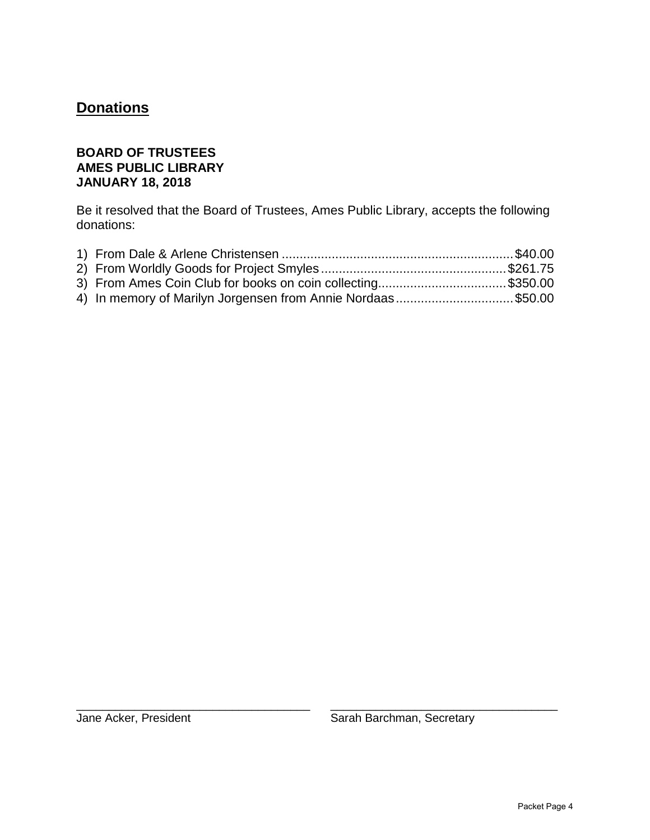## **Donations**

#### **BOARD OF TRUSTEES AMES PUBLIC LIBRARY JANUARY 18, 2018**

Be it resolved that the Board of Trustees, Ames Public Library, accepts the following donations:

| 3) From Ames Coin Club for books on coin collecting\$350.00 |  |
|-------------------------------------------------------------|--|
| 4) In memory of Marilyn Jorgensen from Annie Nordaas\$50.00 |  |

\_\_\_\_\_\_\_\_\_\_\_\_\_\_\_\_\_\_\_\_\_\_\_\_\_\_\_\_\_\_\_\_\_\_\_\_ \_\_\_\_\_\_\_\_\_\_\_\_\_\_\_\_\_\_\_\_\_\_\_\_\_\_\_\_\_\_\_\_\_\_\_

Jane Acker, President Sarah Barchman, Secretary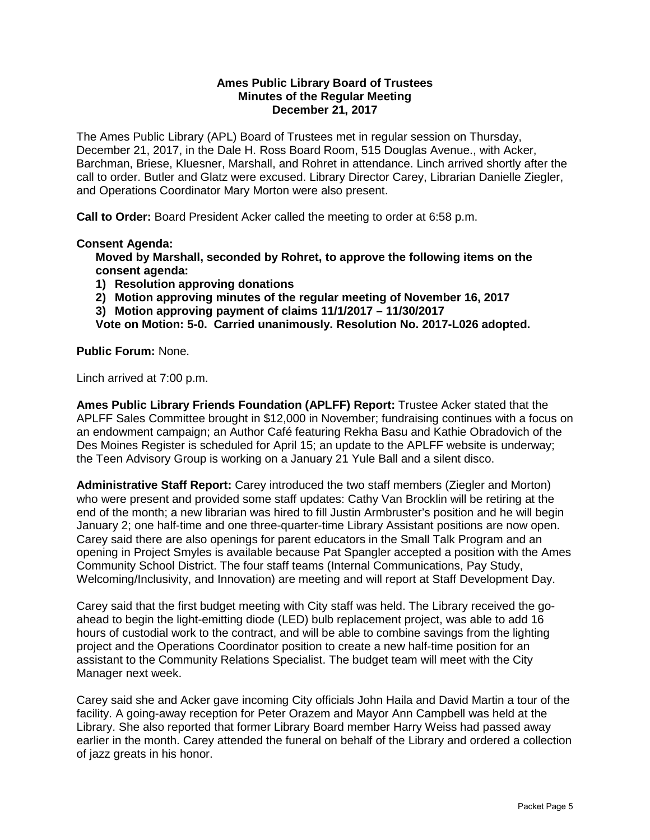#### **Ames Public Library Board of Trustees Minutes of the Regular Meeting December 21, 2017**

The Ames Public Library (APL) Board of Trustees met in regular session on Thursday, December 21, 2017, in the Dale H. Ross Board Room, 515 Douglas Avenue., with Acker, Barchman, Briese, Kluesner, Marshall, and Rohret in attendance. Linch arrived shortly after the call to order. Butler and Glatz were excused. Library Director Carey, Librarian Danielle Ziegler, and Operations Coordinator Mary Morton were also present.

**Call to Order:** Board President Acker called the meeting to order at 6:58 p.m.

#### **Consent Agenda:**

**Moved by Marshall, seconded by Rohret, to approve the following items on the consent agenda:**

- **1) Resolution approving donations**
- **2) Motion approving minutes of the regular meeting of November 16, 2017**
- **3) Motion approving payment of claims 11/1/2017 11/30/2017**

**Vote on Motion: 5-0. Carried unanimously. Resolution No. 2017-L026 adopted.**

#### **Public Forum:** None.

Linch arrived at 7:00 p.m.

**Ames Public Library Friends Foundation (APLFF) Report:** Trustee Acker stated that the APLFF Sales Committee brought in \$12,000 in November; fundraising continues with a focus on an endowment campaign; an Author Café featuring Rekha Basu and Kathie Obradovich of the Des Moines Register is scheduled for April 15; an update to the APLFF website is underway; the Teen Advisory Group is working on a January 21 Yule Ball and a silent disco.

**Administrative Staff Report:** Carey introduced the two staff members (Ziegler and Morton) who were present and provided some staff updates: Cathy Van Brocklin will be retiring at the end of the month; a new librarian was hired to fill Justin Armbruster's position and he will begin January 2; one half-time and one three-quarter-time Library Assistant positions are now open. Carey said there are also openings for parent educators in the Small Talk Program and an opening in Project Smyles is available because Pat Spangler accepted a position with the Ames Community School District. The four staff teams (Internal Communications, Pay Study, Welcoming/Inclusivity, and Innovation) are meeting and will report at Staff Development Day.

Carey said that the first budget meeting with City staff was held. The Library received the goahead to begin the light-emitting diode (LED) bulb replacement project, was able to add 16 hours of custodial work to the contract, and will be able to combine savings from the lighting project and the Operations Coordinator position to create a new half-time position for an assistant to the Community Relations Specialist. The budget team will meet with the City Manager next week.

Carey said she and Acker gave incoming City officials John Haila and David Martin a tour of the facility. A going-away reception for Peter Orazem and Mayor Ann Campbell was held at the Library. She also reported that former Library Board member Harry Weiss had passed away earlier in the month. Carey attended the funeral on behalf of the Library and ordered a collection of jazz greats in his honor.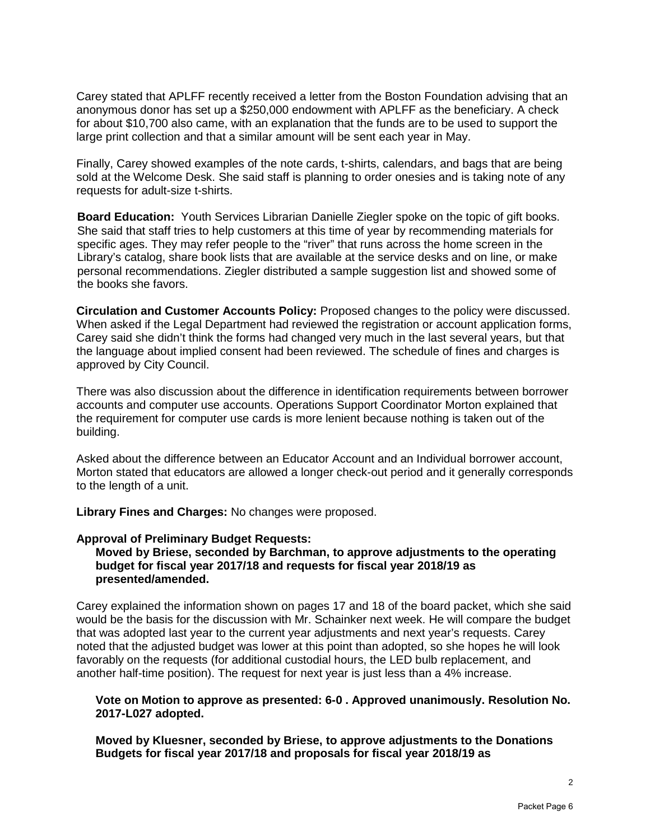Carey stated that APLFF recently received a letter from the Boston Foundation advising that an anonymous donor has set up a \$250,000 endowment with APLFF as the beneficiary. A check for about \$10,700 also came, with an explanation that the funds are to be used to support the large print collection and that a similar amount will be sent each year in May.

Finally, Carey showed examples of the note cards, t-shirts, calendars, and bags that are being sold at the Welcome Desk. She said staff is planning to order onesies and is taking note of any requests for adult-size t-shirts.

**Board Education:** Youth Services Librarian Danielle Ziegler spoke on the topic of gift books. She said that staff tries to help customers at this time of year by recommending materials for specific ages. They may refer people to the "river" that runs across the home screen in the Library's catalog, share book lists that are available at the service desks and on line, or make personal recommendations. Ziegler distributed a sample suggestion list and showed some of the books she favors.

**Circulation and Customer Accounts Policy:** Proposed changes to the policy were discussed. When asked if the Legal Department had reviewed the registration or account application forms, Carey said she didn't think the forms had changed very much in the last several years, but that the language about implied consent had been reviewed. The schedule of fines and charges is approved by City Council.

There was also discussion about the difference in identification requirements between borrower accounts and computer use accounts. Operations Support Coordinator Morton explained that the requirement for computer use cards is more lenient because nothing is taken out of the building.

Asked about the difference between an Educator Account and an Individual borrower account, Morton stated that educators are allowed a longer check-out period and it generally corresponds to the length of a unit.

**Library Fines and Charges:** No changes were proposed.

#### **Approval of Preliminary Budget Requests:**

**Moved by Briese, seconded by Barchman, to approve adjustments to the operating budget for fiscal year 2017/18 and requests for fiscal year 2018/19 as presented/amended.**

Carey explained the information shown on pages 17 and 18 of the board packet, which she said would be the basis for the discussion with Mr. Schainker next week. He will compare the budget that was adopted last year to the current year adjustments and next year's requests. Carey noted that the adjusted budget was lower at this point than adopted, so she hopes he will look favorably on the requests (for additional custodial hours, the LED bulb replacement, and another half-time position). The request for next year is just less than a 4% increase.

#### **Vote on Motion to approve as presented: 6-0 . Approved unanimously. Resolution No. 2017-L027 adopted.**

**Moved by Kluesner, seconded by Briese, to approve adjustments to the Donations Budgets for fiscal year 2017/18 and proposals for fiscal year 2018/19 as**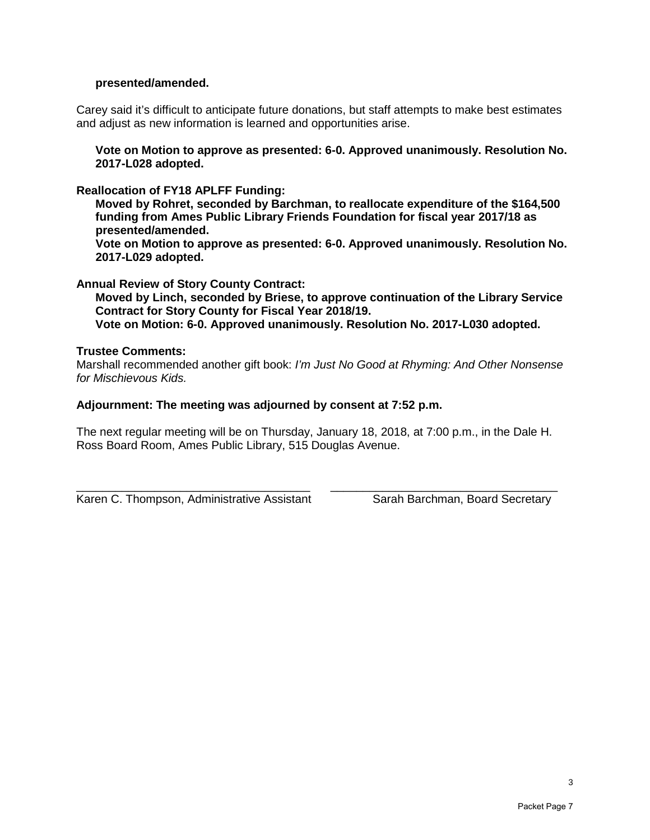#### **presented/amended.**

Carey said it's difficult to anticipate future donations, but staff attempts to make best estimates and adjust as new information is learned and opportunities arise.

**Vote on Motion to approve as presented: 6-0. Approved unanimously. Resolution No. 2017-L028 adopted.**

**Reallocation of FY18 APLFF Funding:** 

**Moved by Rohret, seconded by Barchman, to reallocate expenditure of the \$164,500 funding from Ames Public Library Friends Foundation for fiscal year 2017/18 as presented/amended.** 

**Vote on Motion to approve as presented: 6-0. Approved unanimously. Resolution No. 2017-L029 adopted.**

**Annual Review of Story County Contract:**

**Moved by Linch, seconded by Briese, to approve continuation of the Library Service Contract for Story County for Fiscal Year 2018/19.**

**Vote on Motion: 6-0. Approved unanimously. Resolution No. 2017-L030 adopted.**

#### **Trustee Comments:**

Marshall recommended another gift book: *I'm Just No Good at Rhyming: And Other Nonsense for Mischievous Kids.*

#### **Adjournment: The meeting was adjourned by consent at 7:52 p.m.**

The next regular meeting will be on Thursday, January 18, 2018, at 7:00 p.m., in the Dale H. Ross Board Room, Ames Public Library, 515 Douglas Avenue.

\_\_\_\_\_\_\_\_\_\_\_\_\_\_\_\_\_\_\_\_\_\_\_\_\_\_\_\_\_\_\_\_\_\_\_\_ \_\_\_\_\_\_\_\_\_\_\_\_\_\_\_\_\_\_\_\_\_\_\_\_\_\_\_\_\_\_\_\_\_\_\_ Karen C. Thompson, Administrative Assistant Sarah Barchman, Board Secretary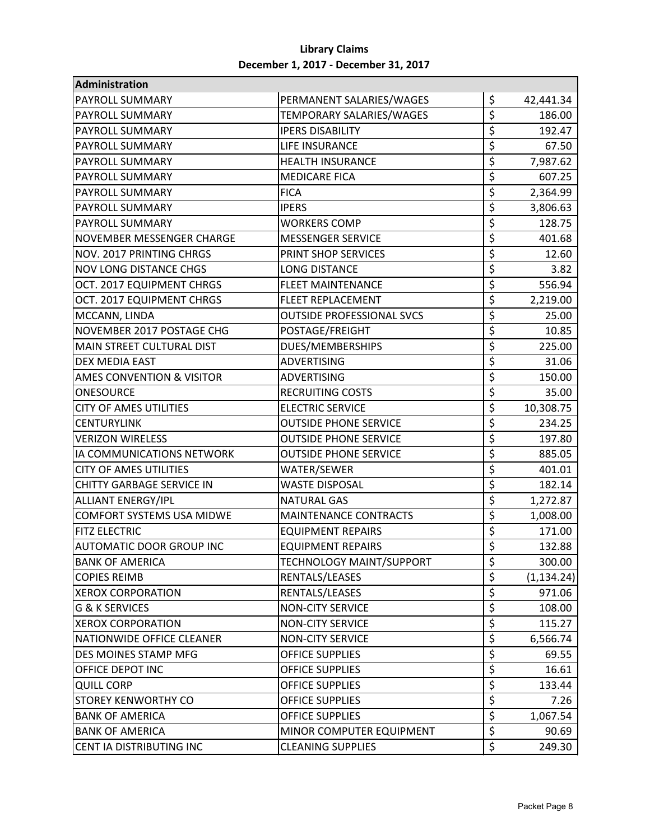#### **Library Claims December 1, 2017 - December 31, 2017**

| Administration                       |                                  |                  |             |
|--------------------------------------|----------------------------------|------------------|-------------|
| <b>PAYROLL SUMMARY</b>               | PERMANENT SALARIES/WAGES         | \$               | 42,441.34   |
| PAYROLL SUMMARY                      | TEMPORARY SALARIES/WAGES         | \$               | 186.00      |
| PAYROLL SUMMARY                      | <b>IPERS DISABILITY</b>          | \$               | 192.47      |
| <b>PAYROLL SUMMARY</b>               | LIFE INSURANCE                   | \$               | 67.50       |
| <b>PAYROLL SUMMARY</b>               | <b>HEALTH INSURANCE</b>          | \$               | 7,987.62    |
| <b>PAYROLL SUMMARY</b>               | <b>MEDICARE FICA</b>             | \$               | 607.25      |
| <b>PAYROLL SUMMARY</b>               | <b>FICA</b>                      | \$               | 2,364.99    |
| <b>PAYROLL SUMMARY</b>               | <b>IPERS</b>                     | \$               | 3,806.63    |
| <b>PAYROLL SUMMARY</b>               | <b>WORKERS COMP</b>              | \$               | 128.75      |
| NOVEMBER MESSENGER CHARGE            | <b>MESSENGER SERVICE</b>         | \$               | 401.68      |
| NOV. 2017 PRINTING CHRGS             | PRINT SHOP SERVICES              | \$               | 12.60       |
| <b>NOV LONG DISTANCE CHGS</b>        | <b>LONG DISTANCE</b>             | \$               | 3.82        |
| OCT. 2017 EQUIPMENT CHRGS            | <b>FLEET MAINTENANCE</b>         | \$               | 556.94      |
| OCT. 2017 EQUIPMENT CHRGS            | <b>FLEET REPLACEMENT</b>         | \$               | 2,219.00    |
| MCCANN, LINDA                        | <b>OUTSIDE PROFESSIONAL SVCS</b> | \$               | 25.00       |
| NOVEMBER 2017 POSTAGE CHG            | POSTAGE/FREIGHT                  | $\overline{\xi}$ | 10.85       |
| MAIN STREET CULTURAL DIST            | DUES/MEMBERSHIPS                 | \$               | 225.00      |
| DEX MEDIA EAST                       | <b>ADVERTISING</b>               | \$               | 31.06       |
| <b>AMES CONVENTION &amp; VISITOR</b> | <b>ADVERTISING</b>               | \$               | 150.00      |
| <b>ONESOURCE</b>                     | <b>RECRUITING COSTS</b>          | \$               | 35.00       |
| <b>CITY OF AMES UTILITIES</b>        | <b>ELECTRIC SERVICE</b>          | \$               | 10,308.75   |
| <b>CENTURYLINK</b>                   | <b>OUTSIDE PHONE SERVICE</b>     | \$               | 234.25      |
| <b>VERIZON WIRELESS</b>              | <b>OUTSIDE PHONE SERVICE</b>     | \$               | 197.80      |
| IA COMMUNICATIONS NETWORK            | <b>OUTSIDE PHONE SERVICE</b>     | \$               | 885.05      |
| <b>CITY OF AMES UTILITIES</b>        | WATER/SEWER                      | \$               | 401.01      |
| <b>CHITTY GARBAGE SERVICE IN</b>     | <b>WASTE DISPOSAL</b>            | \$               | 182.14      |
| <b>ALLIANT ENERGY/IPL</b>            | <b>NATURAL GAS</b>               | \$               | 1,272.87    |
| <b>COMFORT SYSTEMS USA MIDWE</b>     | <b>MAINTENANCE CONTRACTS</b>     | \$               | 1,008.00    |
| <b>FITZ ELECTRIC</b>                 | <b>EQUIPMENT REPAIRS</b>         | \$               | 171.00      |
| <b>AUTOMATIC DOOR GROUP INC</b>      | <b>EQUIPMENT REPAIRS</b>         | \$               | 132.88      |
| <b>BANK OF AMERICA</b>               | <b>TECHNOLOGY MAINT/SUPPORT</b>  | \$               | 300.00      |
| <b>COPIES REIMB</b>                  | RENTALS/LEASES                   | \$               | (1, 134.24) |
| <b>XEROX CORPORATION</b>             | RENTALS/LEASES                   | \$               | 971.06      |
| <b>G &amp; K SERVICES</b>            | <b>NON-CITY SERVICE</b>          | \$               | 108.00      |
| <b>XEROX CORPORATION</b>             | <b>NON-CITY SERVICE</b>          | \$               | 115.27      |
| NATIONWIDE OFFICE CLEANER            | <b>NON-CITY SERVICE</b>          | \$               | 6,566.74    |
| DES MOINES STAMP MFG                 | <b>OFFICE SUPPLIES</b>           | \$               | 69.55       |
| OFFICE DEPOT INC                     | <b>OFFICE SUPPLIES</b>           | \$               | 16.61       |
| <b>QUILL CORP</b>                    | <b>OFFICE SUPPLIES</b>           | \$               | 133.44      |
| <b>STOREY KENWORTHY CO</b>           | <b>OFFICE SUPPLIES</b>           | \$               | 7.26        |
| <b>BANK OF AMERICA</b>               | <b>OFFICE SUPPLIES</b>           | \$               | 1,067.54    |
| <b>BANK OF AMERICA</b>               | MINOR COMPUTER EQUIPMENT         | \$               | 90.69       |
| CENT IA DISTRIBUTING INC             | <b>CLEANING SUPPLIES</b>         | \$               | 249.30      |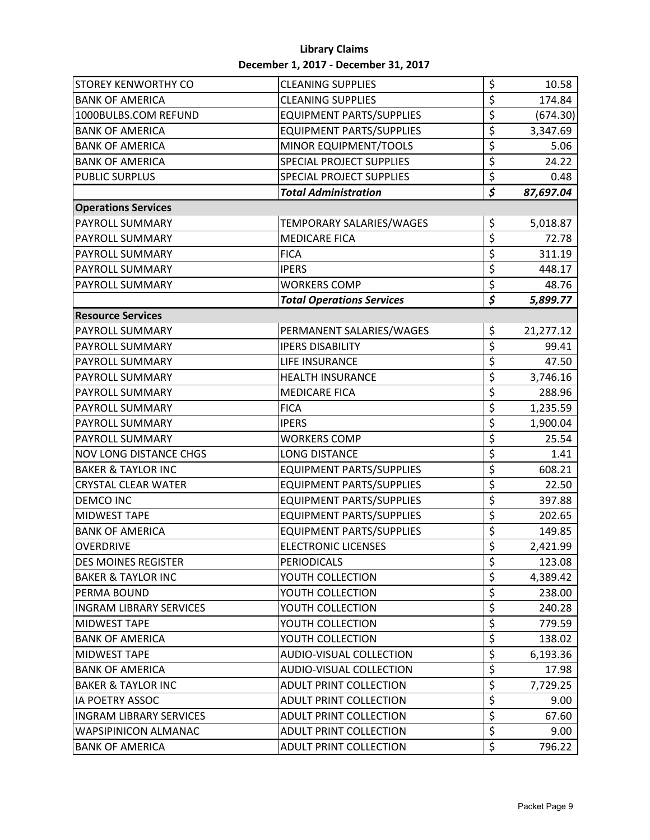#### **Library Claims December 1, 2017 - December 31, 2017**

| <b>STOREY KENWORTHY CO</b>     | <b>CLEANING SUPPLIES</b>         | \$                              | 10.58     |
|--------------------------------|----------------------------------|---------------------------------|-----------|
| <b>BANK OF AMERICA</b>         | <b>CLEANING SUPPLIES</b>         | \$                              | 174.84    |
| 1000BULBS.COM REFUND           | <b>EQUIPMENT PARTS/SUPPLIES</b>  | \$                              | (674.30)  |
| <b>BANK OF AMERICA</b>         | <b>EQUIPMENT PARTS/SUPPLIES</b>  | \$                              | 3,347.69  |
| <b>BANK OF AMERICA</b>         | MINOR EQUIPMENT/TOOLS            | \$                              | 5.06      |
| <b>BANK OF AMERICA</b>         | SPECIAL PROJECT SUPPLIES         | \$                              | 24.22     |
| <b>PUBLIC SURPLUS</b>          | <b>SPECIAL PROJECT SUPPLIES</b>  | \$                              | 0.48      |
|                                | <b>Total Administration</b>      | \$                              | 87,697.04 |
| <b>Operations Services</b>     |                                  |                                 |           |
| PAYROLL SUMMARY                | TEMPORARY SALARIES/WAGES         | \$                              | 5,018.87  |
| <b>PAYROLL SUMMARY</b>         | <b>MEDICARE FICA</b>             | \$                              | 72.78     |
| PAYROLL SUMMARY                | <b>FICA</b>                      | \$                              | 311.19    |
| <b>PAYROLL SUMMARY</b>         | <b>IPERS</b>                     | \$                              | 448.17    |
| <b>PAYROLL SUMMARY</b>         | <b>WORKERS COMP</b>              | \$                              | 48.76     |
|                                | <b>Total Operations Services</b> | \$                              | 5,899.77  |
| <b>Resource Services</b>       |                                  |                                 |           |
| PAYROLL SUMMARY                | PERMANENT SALARIES/WAGES         | \$                              | 21,277.12 |
| <b>PAYROLL SUMMARY</b>         | <b>IPERS DISABILITY</b>          | $\overline{\varsigma}$          | 99.41     |
| <b>PAYROLL SUMMARY</b>         | <b>LIFE INSURANCE</b>            | \$                              | 47.50     |
| <b>PAYROLL SUMMARY</b>         | <b>HEALTH INSURANCE</b>          | \$                              | 3,746.16  |
| PAYROLL SUMMARY                | <b>MEDICARE FICA</b>             | \$                              | 288.96    |
| PAYROLL SUMMARY                | <b>FICA</b>                      | \$                              | 1,235.59  |
| PAYROLL SUMMARY                | <b>IPERS</b>                     | \$                              | 1,900.04  |
| PAYROLL SUMMARY                | <b>WORKERS COMP</b>              | \$                              | 25.54     |
| <b>NOV LONG DISTANCE CHGS</b>  | <b>LONG DISTANCE</b>             | \$                              | 1.41      |
| <b>BAKER &amp; TAYLOR INC</b>  | <b>EQUIPMENT PARTS/SUPPLIES</b>  | \$                              | 608.21    |
| <b>CRYSTAL CLEAR WATER</b>     | <b>EQUIPMENT PARTS/SUPPLIES</b>  | \$                              | 22.50     |
| <b>DEMCO INC</b>               | <b>EQUIPMENT PARTS/SUPPLIES</b>  | \$                              | 397.88    |
| <b>MIDWEST TAPE</b>            | <b>EQUIPMENT PARTS/SUPPLIES</b>  | \$                              | 202.65    |
| <b>BANK OF AMERICA</b>         | <b>EQUIPMENT PARTS/SUPPLIES</b>  | \$                              | 149.85    |
| <b>OVERDRIVE</b>               | <b>ELECTRONIC LICENSES</b>       | \$                              | 2,421.99  |
| <b>DES MOINES REGISTER</b>     | <b>PERIODICALS</b>               | \$                              | 123.08    |
| <b>BAKER &amp; TAYLOR INC</b>  | YOUTH COLLECTION                 | \$                              | 4,389.42  |
| PERMA BOUND                    | YOUTH COLLECTION                 | \$                              | 238.00    |
| <b>INGRAM LIBRARY SERVICES</b> | YOUTH COLLECTION                 | \$                              | 240.28    |
| <b>MIDWEST TAPE</b>            | YOUTH COLLECTION                 | \$                              | 779.59    |
| <b>BANK OF AMERICA</b>         | YOUTH COLLECTION                 | \$                              | 138.02    |
| <b>MIDWEST TAPE</b>            | AUDIO-VISUAL COLLECTION          | \$                              | 6,193.36  |
| <b>BANK OF AMERICA</b>         | <b>AUDIO-VISUAL COLLECTION</b>   | \$                              | 17.98     |
| <b>BAKER &amp; TAYLOR INC</b>  | <b>ADULT PRINT COLLECTION</b>    | $\overline{\boldsymbol{\zeta}}$ | 7,729.25  |
| <b>IA POETRY ASSOC</b>         | ADULT PRINT COLLECTION           | \$                              | 9.00      |
| <b>INGRAM LIBRARY SERVICES</b> | <b>ADULT PRINT COLLECTION</b>    | \$                              | 67.60     |
| <b>WAPSIPINICON ALMANAC</b>    | <b>ADULT PRINT COLLECTION</b>    | \$                              | 9.00      |
| <b>BANK OF AMERICA</b>         | ADULT PRINT COLLECTION           | $\overline{\xi}$                | 796.22    |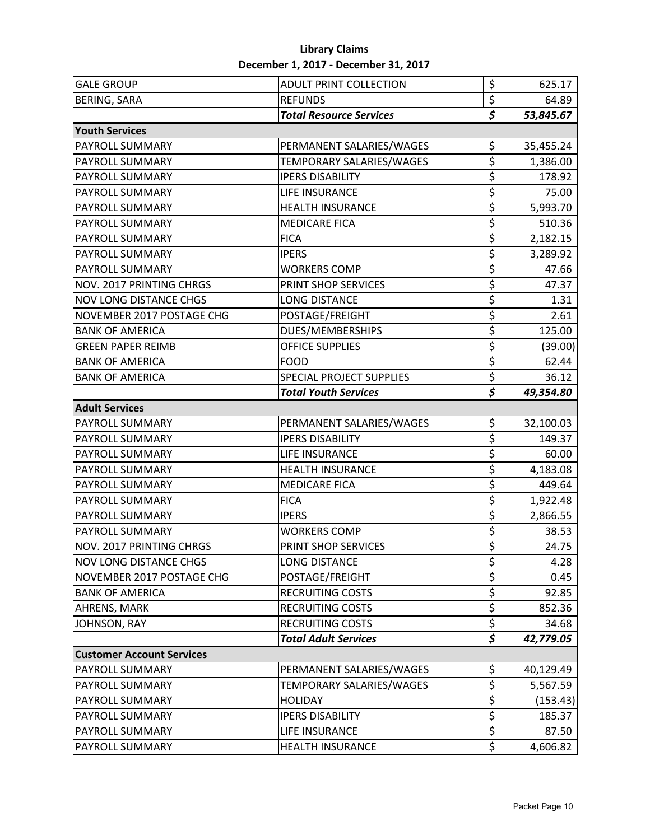#### **Library Claims December 1, 2017 - December 31, 2017**

| <b>GALE GROUP</b>                | <b>ADULT PRINT COLLECTION</b>   | \$                              | 625.17    |
|----------------------------------|---------------------------------|---------------------------------|-----------|
| <b>BERING, SARA</b>              | <b>REFUNDS</b>                  | \$                              | 64.89     |
|                                  | <b>Total Resource Services</b>  | $\overline{\boldsymbol{\zeta}}$ | 53,845.67 |
| <b>Youth Services</b>            |                                 |                                 |           |
| PAYROLL SUMMARY                  | PERMANENT SALARIES/WAGES        | \$                              | 35,455.24 |
| PAYROLL SUMMARY                  | TEMPORARY SALARIES/WAGES        | \$                              | 1,386.00  |
| PAYROLL SUMMARY                  | <b>IPERS DISABILITY</b>         | \$                              | 178.92    |
| PAYROLL SUMMARY                  | LIFE INSURANCE                  | \$                              | 75.00     |
| PAYROLL SUMMARY                  | <b>HEALTH INSURANCE</b>         | \$                              | 5,993.70  |
| <b>PAYROLL SUMMARY</b>           | <b>MEDICARE FICA</b>            | \$                              | 510.36    |
| <b>PAYROLL SUMMARY</b>           | <b>FICA</b>                     | \$                              | 2,182.15  |
| PAYROLL SUMMARY                  | <b>IPERS</b>                    | \$                              | 3,289.92  |
| PAYROLL SUMMARY                  | <b>WORKERS COMP</b>             | \$                              | 47.66     |
| NOV. 2017 PRINTING CHRGS         | PRINT SHOP SERVICES             | \$                              | 47.37     |
| <b>NOV LONG DISTANCE CHGS</b>    | <b>LONG DISTANCE</b>            | \$                              | 1.31      |
| NOVEMBER 2017 POSTAGE CHG        | POSTAGE/FREIGHT                 | \$                              | 2.61      |
| <b>BANK OF AMERICA</b>           | DUES/MEMBERSHIPS                | \$                              | 125.00    |
| <b>GREEN PAPER REIMB</b>         | <b>OFFICE SUPPLIES</b>          | \$                              | (39.00)   |
| <b>BANK OF AMERICA</b>           | <b>FOOD</b>                     | \$                              | 62.44     |
| <b>BANK OF AMERICA</b>           | <b>SPECIAL PROJECT SUPPLIES</b> | \$                              | 36.12     |
|                                  | <b>Total Youth Services</b>     | $\overline{\boldsymbol{\zeta}}$ | 49,354.80 |
| <b>Adult Services</b>            |                                 |                                 |           |
| PAYROLL SUMMARY                  | PERMANENT SALARIES/WAGES        | \$                              | 32,100.03 |
| PAYROLL SUMMARY                  | <b>IPERS DISABILITY</b>         | \$                              | 149.37    |
| PAYROLL SUMMARY                  | LIFE INSURANCE                  | \$                              | 60.00     |
| PAYROLL SUMMARY                  | <b>HEALTH INSURANCE</b>         | \$                              | 4,183.08  |
| PAYROLL SUMMARY                  | <b>MEDICARE FICA</b>            | \$                              | 449.64    |
| PAYROLL SUMMARY                  | <b>FICA</b>                     | \$                              | 1,922.48  |
| PAYROLL SUMMARY                  | <b>IPERS</b>                    | \$                              | 2,866.55  |
| <b>PAYROLL SUMMARY</b>           | <b>WORKERS COMP</b>             | \$                              | 38.53     |
| <b>NOV. 2017 PRINTING CHRGS</b>  | PRINT SHOP SERVICES             | \$                              | 24.75     |
| <b>NOV LONG DISTANCE CHGS</b>    | <b>LONG DISTANCE</b>            | \$                              | 4.28      |
| NOVEMBER 2017 POSTAGE CHG        | POSTAGE/FREIGHT                 | \$                              | 0.45      |
| <b>BANK OF AMERICA</b>           | <b>RECRUITING COSTS</b>         | \$                              | 92.85     |
| AHRENS, MARK                     | <b>RECRUITING COSTS</b>         | $\overline{\xi}$                | 852.36    |
| JOHNSON, RAY                     | <b>RECRUITING COSTS</b>         | $\overline{\boldsymbol{\zeta}}$ | 34.68     |
|                                  | <b>Total Adult Services</b>     | \$                              | 42,779.05 |
| <b>Customer Account Services</b> |                                 |                                 |           |
| PAYROLL SUMMARY                  | PERMANENT SALARIES/WAGES        | \$                              | 40,129.49 |
| PAYROLL SUMMARY                  | TEMPORARY SALARIES/WAGES        | \$                              | 5,567.59  |
| PAYROLL SUMMARY                  | <b>HOLIDAY</b>                  | \$                              | (153.43)  |
| PAYROLL SUMMARY                  | <b>IPERS DISABILITY</b>         | \$                              | 185.37    |
| PAYROLL SUMMARY                  | LIFE INSURANCE                  | \$                              | 87.50     |
| PAYROLL SUMMARY                  | <b>HEALTH INSURANCE</b>         | \$                              | 4,606.82  |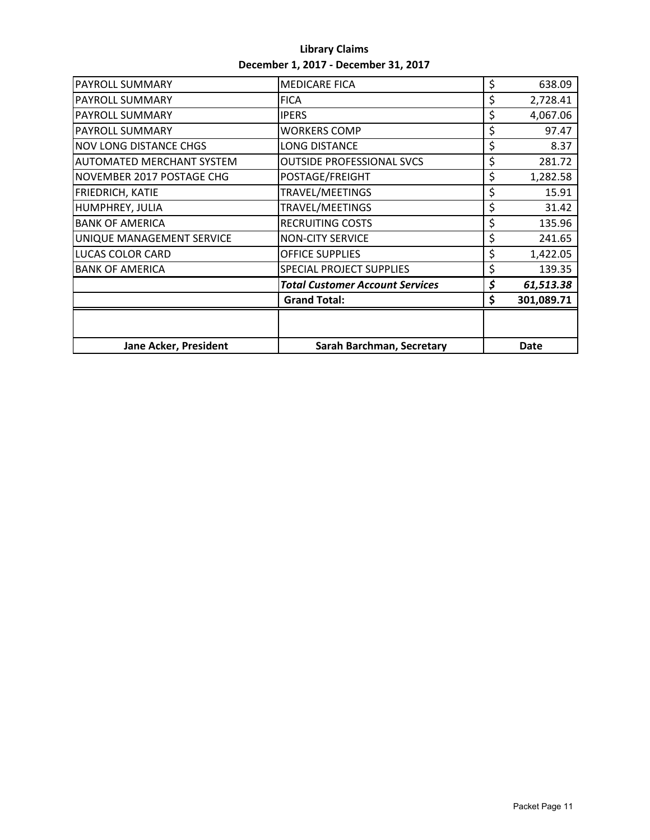| <b>Library Claims</b>                |
|--------------------------------------|
| December 1, 2017 - December 31, 2017 |

| <b>PAYROLL SUMMARY</b>           | <b>MEDICARE FICA</b>                   | \$<br>638.09     |
|----------------------------------|----------------------------------------|------------------|
| <b>PAYROLL SUMMARY</b>           | <b>FICA</b>                            | \$<br>2,728.41   |
| <b>PAYROLL SUMMARY</b>           | <b>IPERS</b>                           | \$<br>4,067.06   |
| <b>PAYROLL SUMMARY</b>           | <b>WORKERS COMP</b>                    | \$<br>97.47      |
| <b>NOV LONG DISTANCE CHGS</b>    | <b>LONG DISTANCE</b>                   | \$<br>8.37       |
| <b>AUTOMATED MERCHANT SYSTEM</b> | <b>OUTSIDE PROFESSIONAL SVCS</b>       | \$<br>281.72     |
| NOVEMBER 2017 POSTAGE CHG        | POSTAGE/FREIGHT                        | \$<br>1,282.58   |
| <b>FRIEDRICH, KATIE</b>          | TRAVEL/MEETINGS                        | \$<br>15.91      |
| HUMPHREY, JULIA                  | TRAVEL/MEETINGS                        | \$<br>31.42      |
| <b>BANK OF AMERICA</b>           | <b>RECRUITING COSTS</b>                | \$<br>135.96     |
| UNIQUE MANAGEMENT SERVICE        | <b>NON-CITY SERVICE</b>                | \$<br>241.65     |
| <b>LUCAS COLOR CARD</b>          | <b>OFFICE SUPPLIES</b>                 | \$<br>1,422.05   |
| <b>BANK OF AMERICA</b>           | <b>SPECIAL PROJECT SUPPLIES</b>        | \$<br>139.35     |
|                                  | <b>Total Customer Account Services</b> | \$<br>61,513.38  |
|                                  | <b>Grand Total:</b>                    | \$<br>301,089.71 |
|                                  |                                        |                  |
| <b>Jane Acker, President</b>     | Sarah Barchman, Secretary              | <b>Date</b>      |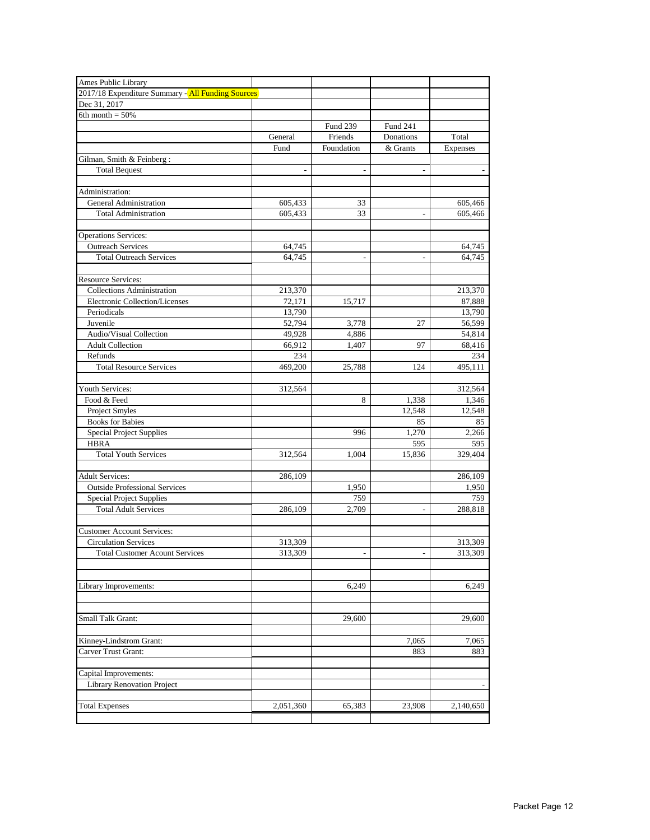| Ames Public Library                               |                |                 |                          |                 |
|---------------------------------------------------|----------------|-----------------|--------------------------|-----------------|
| 2017/18 Expenditure Summary - All Funding Sources |                |                 |                          |                 |
| Dec 31, 2017                                      |                |                 |                          |                 |
| 6th month = $50\%$                                |                |                 |                          |                 |
|                                                   |                | <b>Fund 239</b> | Fund 241                 |                 |
|                                                   | General        | Friends         | Donations                | Total           |
|                                                   | Fund           | Foundation      | & Grants                 | <b>Expenses</b> |
| Gilman, Smith & Feinberg:                         |                |                 |                          |                 |
| <b>Total Bequest</b>                              | $\overline{a}$ | $\overline{a}$  | $\sim$                   |                 |
|                                                   |                |                 |                          |                 |
| Administration:                                   |                |                 |                          |                 |
| General Administration                            | 605,433        | 33              |                          | 605,466         |
| <b>Total Administration</b>                       | 605,433        | 33              |                          | 605,466         |
|                                                   |                |                 |                          |                 |
| <b>Operations Services:</b>                       |                |                 |                          |                 |
| <b>Outreach Services</b>                          | 64,745         |                 |                          | 64,745          |
| <b>Total Outreach Services</b>                    | 64,745         | $\overline{a}$  |                          | 64,745          |
|                                                   |                |                 |                          |                 |
| <b>Resource Services:</b>                         |                |                 |                          |                 |
| <b>Collections Administration</b>                 | 213,370        |                 |                          | 213,370         |
| Electronic Collection/Licenses                    | 72,171         | 15,717          |                          | 87,888          |
| Periodicals                                       | 13,790         |                 |                          | 13,790          |
| Juvenile                                          | 52,794         | 3,778           | 27                       | 56,599          |
| Audio/Visual Collection                           | 49,928         | 4.886           |                          | 54,814          |
| <b>Adult Collection</b>                           | 66,912         | 1,407           | 97                       | 68,416          |
| Refunds                                           | 234            |                 |                          | 234             |
| <b>Total Resource Services</b>                    | 469,200        | 25,788          | 124                      | 495,111         |
|                                                   |                |                 |                          |                 |
| Youth Services:                                   | 312,564        |                 |                          | 312,564         |
| Food & Feed                                       |                | 8               | 1,338                    | 1,346           |
| <b>Project Smyles</b>                             |                |                 | 12,548                   | 12,548          |
| <b>Books</b> for Babies                           |                |                 | 85                       | 85              |
| Special Project Supplies                          |                | 996             | 1,270                    | 2,266           |
| <b>HBRA</b>                                       |                |                 | 595                      | 595             |
| <b>Total Youth Services</b>                       | 312,564        | 1,004           | 15,836                   | 329,404         |
|                                                   |                |                 |                          |                 |
| <b>Adult Services:</b>                            | 286,109        |                 |                          | 286,109         |
| <b>Outside Professional Services</b>              |                | 1,950           |                          | 1,950           |
| <b>Special Project Supplies</b>                   |                | 759             |                          | 759             |
| <b>Total Adult Services</b>                       | 286,109        | 2.709           | $\overline{a}$           | 288,818         |
|                                                   |                |                 |                          |                 |
| <b>Customer Account Services:</b>                 |                |                 |                          |                 |
| <b>Circulation Services</b>                       | 313,309        |                 |                          | 313,309         |
| <b>Total Customer Acount Services</b>             | 313,309        | -               | $\overline{\phantom{a}}$ | 313,309         |
|                                                   |                |                 |                          |                 |
|                                                   |                |                 |                          |                 |
| Library Improvements:                             |                | 6,249           |                          | 6,249           |
|                                                   |                |                 |                          |                 |
|                                                   |                |                 |                          |                 |
| Small Talk Grant:                                 |                | 29,600          |                          | 29,600          |
|                                                   |                |                 |                          |                 |
| Kinney-Lindstrom Grant:                           |                |                 | 7,065                    | 7,065           |
| Carver Trust Grant:                               |                |                 | 883                      | 883             |
|                                                   |                |                 |                          |                 |
| Capital Improvements:                             |                |                 |                          |                 |
| <b>Library Renovation Project</b>                 |                |                 |                          |                 |
|                                                   |                |                 |                          |                 |
| <b>Total Expenses</b>                             | 2,051,360      | 65,383          | 23,908                   | 2,140,650       |
|                                                   |                |                 |                          |                 |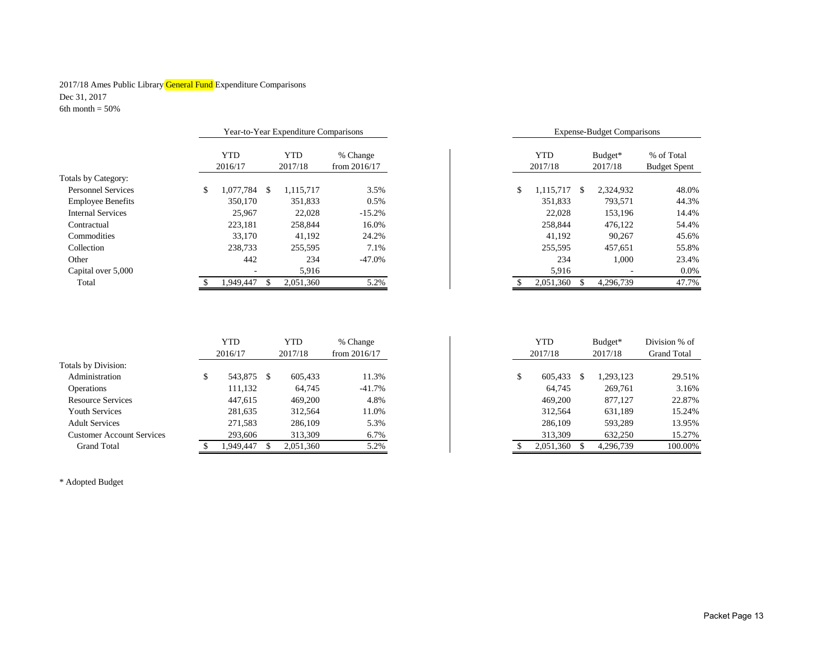#### 2017/18 Ames Public Library General Fund Expenditure Comparisons Dec 31, 2017 6th month  $=$  50%

|                           |                    | Year-to-Year Expenditure Comparisons |                |         | <b>Expense-Budget Comparisons</b> |           |                     |
|---------------------------|--------------------|--------------------------------------|----------------|---------|-----------------------------------|-----------|---------------------|
|                           | <b>YTD</b>         | <b>YTD</b>                           | % Change       | YTD     |                                   | Budget*   | % of Total          |
|                           | 2016/17            | 2017/18                              | from $2016/17$ | 2017/18 |                                   | 2017/18   | <b>Budget Spent</b> |
| Totals by Category:       |                    |                                      |                |         |                                   |           |                     |
| <b>Personnel Services</b> | 1.077.784 \$<br>\$ | 1.115.717                            | 3.5%           |         | 1,115,717<br>-S                   | 2.324.932 | 48.0%               |
| <b>Employee Benefits</b>  | 350,170            | 351.833                              | 0.5%           |         | 351.833                           | 793.571   | 44.3%               |
| <b>Internal Services</b>  | 25,967             | 22,028                               | $-15.2%$       |         | 22,028                            | 153,196   | 14.4%               |
| Contractual               | 223.181            | 258,844                              | 16.0%          |         | 258,844                           | 476.122   | 54.4%               |
| Commodities               | 33,170             | 41,192                               | 24.2%          |         | 41.192                            | 90.267    | 45.6%               |
| Collection                | 238,733            | 255,595                              | 7.1%           |         | 255,595                           | 457.651   | 55.8%               |
| Other                     | 442                | 234                                  | $-47.0\%$      |         | 234                               | 1,000     | 23.4%               |
| Capital over 5,000        |                    | 5,916                                |                |         | 5,916                             |           | 0.0%                |
| Total                     | .949.447           | 2,051,360                            | 5.2%           |         | 2,051,360                         | 4,296,739 | 47.7%               |

| Year-to-Year Expenditure Comparisons |               |                | <b>Expense-Budget Comparisons</b> |                                             |           |                                   |           |       |
|--------------------------------------|---------------|----------------|-----------------------------------|---------------------------------------------|-----------|-----------------------------------|-----------|-------|
| <b>YTD</b><br>2016/17                |               | YTD<br>2017/18 | % Change<br>from $2016/17$        | <b>YTD</b><br>Budget*<br>2017/18<br>2017/18 |           | % of Total<br><b>Budget Spent</b> |           |       |
| 1,077,784                            | <sup>\$</sup> | 1.115.717      | 3.5%                              | \$                                          | 1.115.717 | \$.                               | 2,324,932 | 48.0% |
| 350,170                              |               | 351.833        | 0.5%                              |                                             | 351,833   |                                   | 793.571   | 44.3% |
| 25,967                               |               | 22,028         | $-15.2%$                          |                                             | 22,028    |                                   | 153,196   | 14.4% |
| 223.181                              |               | 258,844        | 16.0%                             |                                             | 258.844   |                                   | 476.122   | 54.4% |
| 33,170                               |               | 41.192         | 24.2%                             |                                             | 41,192    |                                   | 90.267    | 45.6% |
| 238,733                              |               | 255,595        | 7.1%                              |                                             | 255,595   |                                   | 457,651   | 55.8% |
| 442                                  |               | 234            | $-47.0%$                          |                                             | 234       |                                   | 1,000     | 23.4% |
|                                      |               | 5,916          |                                   |                                             | 5,916     |                                   |           | 0.0%  |
| 1,949,447                            | \$            | 2,051,360      | 5.2%                              |                                             | 2,051,360 |                                   | 4,296,739 | 47.7% |

|                                  | YTD<br>2016/17 | YTD<br>2017/18 | % Change<br>from $2016/17$ | YTD<br>2017/18 | Budget*<br>2017/18 | Division % of<br><b>Grand Total</b> |
|----------------------------------|----------------|----------------|----------------------------|----------------|--------------------|-------------------------------------|
| Totals by Division:              |                |                |                            |                |                    |                                     |
| Administration                   | 543,875 \$     | 605.433        | 11.3%                      | 605,433        | 1,293,123          | 29.51%                              |
| Operations                       | 111,132        | 64.745         | $-41.7%$                   | 64.745         | 269,761            | 3.16%                               |
| <b>Resource Services</b>         | 447.615        | 469,200        | 4.8%                       | 469,200        | 877.127            | 22.87%                              |
| <b>Youth Services</b>            | 281,635        | 312,564        | 11.0%                      | 312,564        | 631,189            | 15.24%                              |
| <b>Adult Services</b>            | 271,583        | 286,109        | 5.3%                       | 286,109        | 593,289            | 13.95%                              |
| <b>Customer Account Services</b> | 293,606        | 313.309        | 6.7%                       | 313,309        | 632,250            | 15.27%                              |
| <b>Grand Total</b>               | 1.949.447      | 2,051,360      | 5.2%                       | 2,051,360      | 4,296,739          | 100.00%                             |

\* Adopted Budget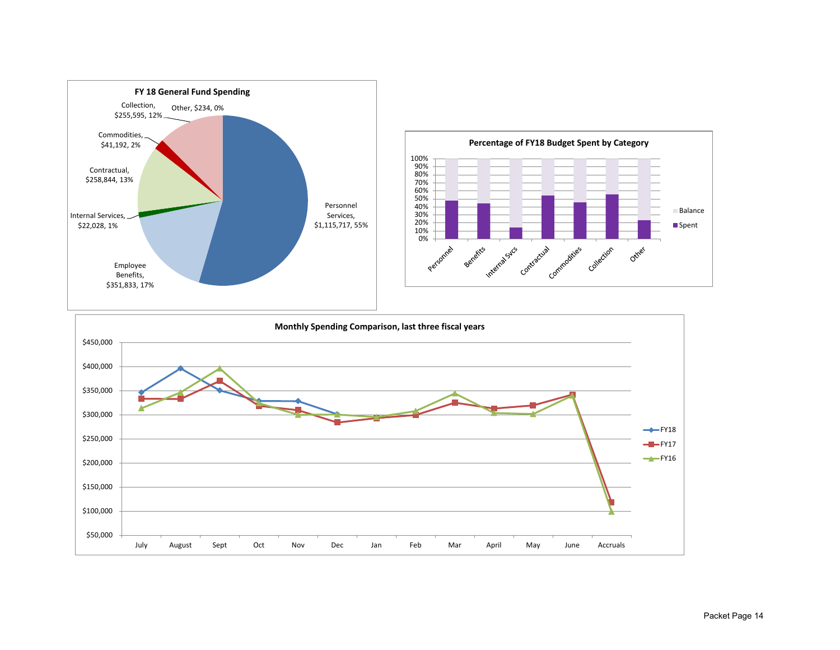



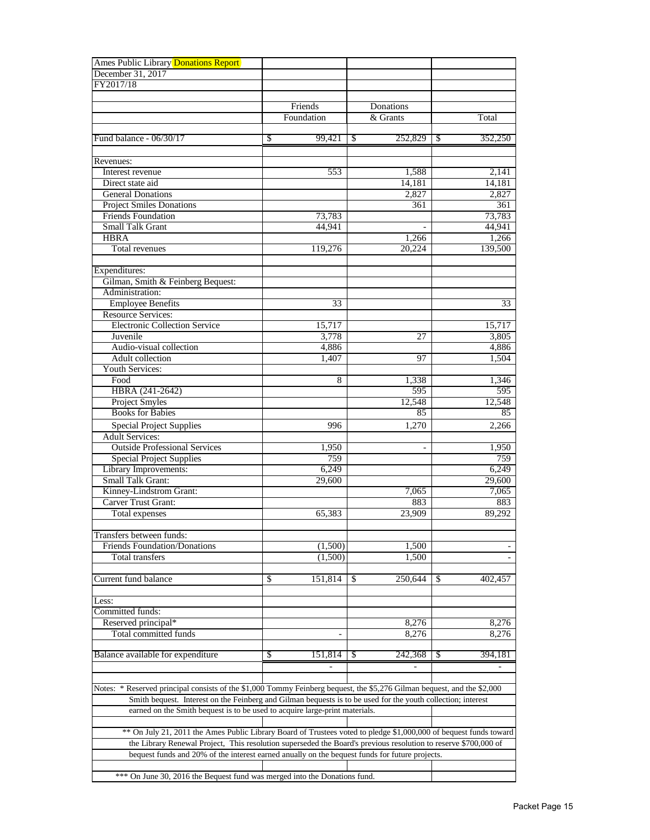| Ames Public Library Donations Report                                                                                       |               |                          |              |
|----------------------------------------------------------------------------------------------------------------------------|---------------|--------------------------|--------------|
| December 31, 2017                                                                                                          |               |                          |              |
| FY2017/18                                                                                                                  |               |                          |              |
|                                                                                                                            |               |                          |              |
|                                                                                                                            | Friends       | Donations                |              |
|                                                                                                                            | Foundation    | & Grants                 | Total        |
|                                                                                                                            |               |                          |              |
| Fund balance - 06/30/17                                                                                                    | 99,421<br>S   | 252,829<br><sup>\$</sup> | 352,250<br>S |
|                                                                                                                            |               |                          |              |
| Revenues:                                                                                                                  |               |                          |              |
| Interest revenue                                                                                                           | 553           | 1,588                    | 2.141        |
| Direct state aid                                                                                                           |               | 14,181                   | 14,181       |
| <b>General Donations</b><br><b>Project Smiles Donations</b>                                                                |               | 2,827<br>361             | 2,827<br>361 |
| <b>Friends Foundation</b>                                                                                                  | 73,783        |                          | 73,783       |
| <b>Small Talk Grant</b>                                                                                                    | 44,941        |                          | 44,941       |
| <b>HBRA</b>                                                                                                                |               | 1,266                    | 1,266        |
| Total revenues                                                                                                             | 119,276       | 20.224                   | 139,500      |
|                                                                                                                            |               |                          |              |
| Expenditures:                                                                                                              |               |                          |              |
| Gilman, Smith & Feinberg Bequest:                                                                                          |               |                          |              |
| Administration:                                                                                                            |               |                          |              |
| <b>Employee Benefits</b>                                                                                                   | 33            |                          | 33           |
| <b>Resource Services:</b>                                                                                                  |               |                          |              |
| <b>Electronic Collection Service</b>                                                                                       | 15,717        |                          | 15,717       |
| Juvenile                                                                                                                   | 3,778         | 27                       | 3,805        |
| Audio-visual collection                                                                                                    | 4,886         |                          | 4,886        |
| Adult collection                                                                                                           | 1.407         | 97                       | 1,504        |
| Youth Services:                                                                                                            |               |                          |              |
| Food                                                                                                                       | 8             | 1,338                    | 1,346        |
| HBRA (241-2642)                                                                                                            |               | 595                      | 595          |
| Project Smyles                                                                                                             |               | 12.548                   | 12,548       |
| <b>Books</b> for Babies                                                                                                    |               | 85                       | 85           |
| <b>Special Project Supplies</b>                                                                                            | 996           | 1,270                    | 2,266        |
| <b>Adult Services:</b>                                                                                                     |               |                          |              |
| <b>Outside Professional Services</b>                                                                                       | 1,950         |                          | 1,950        |
| <b>Special Project Supplies</b>                                                                                            | 759           |                          | 759          |
| Library Improvements:                                                                                                      | 6,249         |                          | 6,249        |
| Small Talk Grant:                                                                                                          | 29,600        |                          | 29,600       |
| Kinney-Lindstrom Grant:                                                                                                    |               | 7,065                    | 7,065        |
| Carver Trust Grant:                                                                                                        |               | 883                      | 883          |
| Total expenses                                                                                                             | 65,383        | 23,909                   | 89,292       |
|                                                                                                                            |               |                          |              |
| Transfers between funds:<br><b>Friends Foundation/Donations</b>                                                            | (1,500)       | 1,500                    |              |
| Total transfers                                                                                                            | (1,500)       | 1,500                    |              |
|                                                                                                                            |               |                          |              |
| Current fund balance                                                                                                       | \$<br>151,814 | 250,644<br>\$            | 402,457<br>S |
|                                                                                                                            |               |                          |              |
| Less:                                                                                                                      |               |                          |              |
| Committed funds:                                                                                                           |               |                          |              |
| Reserved principal*                                                                                                        |               | 8,276                    | 8,276        |
| Total committed funds                                                                                                      |               | 8,276                    | 8,276        |
|                                                                                                                            |               |                          |              |
| Balance available for expenditure                                                                                          | 151,814<br>\$ | 242,368<br>\$            | 394,181<br>S |
|                                                                                                                            |               |                          |              |
|                                                                                                                            |               |                          |              |
| * Reserved principal consists of the \$1,000 Tommy Feinberg bequest, the \$5,276 Gilman bequest, and the \$2,000<br>Notes: |               |                          |              |
| Smith bequest. Interest on the Feinberg and Gilman bequests is to be used for the youth collection; interest               |               |                          |              |
| earned on the Smith bequest is to be used to acquire large-print materials.                                                |               |                          |              |
|                                                                                                                            |               |                          |              |
| ** On July 21, 2011 the Ames Public Library Board of Trustees voted to pledge \$1,000,000 of bequest funds toward          |               |                          |              |
| the Library Renewal Project, This resolution superseded the Board's previous resolution to reserve \$700,000 of            |               |                          |              |
| bequest funds and 20% of the interest earned anually on the bequest funds for future projects.                             |               |                          |              |
|                                                                                                                            |               |                          |              |
| On June 30, 2016 the Bequest fund was merged into the Donations fund.<br>***                                               |               |                          |              |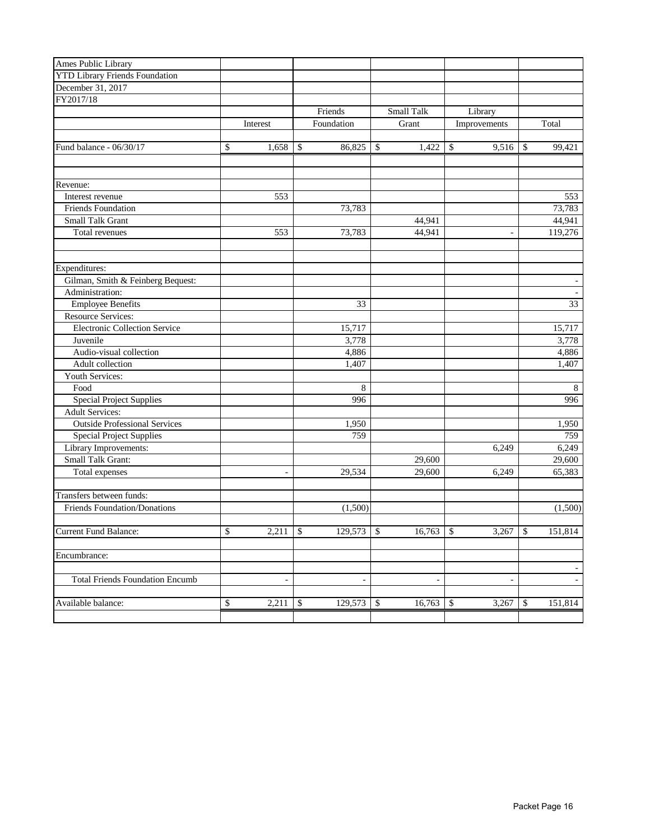| Ames Public Library                    |                          |              |                |                        |        |                          |              |         |
|----------------------------------------|--------------------------|--------------|----------------|------------------------|--------|--------------------------|--------------|---------|
| <b>YTD Library Friends Foundation</b>  |                          |              |                |                        |        |                          |              |         |
| December 31, 2017                      |                          |              |                |                        |        |                          |              |         |
| FY2017/18                              |                          |              |                |                        |        |                          |              |         |
|                                        |                          |              | Friends        | Small Talk             |        | Library                  |              |         |
|                                        | Interest                 |              | Foundation     | Grant                  |        | Improvements             |              | Total   |
|                                        |                          |              |                |                        |        |                          |              |         |
| Fund balance - 06/30/17                | \$<br>1,658              | \$           | 86,825         | $\mathbb{S}$           | 1,422  | \$<br>9,516              | \$           | 99,421  |
|                                        |                          |              |                |                        |        |                          |              |         |
|                                        |                          |              |                |                        |        |                          |              |         |
| Revenue:                               |                          |              |                |                        |        |                          |              |         |
| Interest revenue                       | 553                      |              |                |                        |        |                          |              | 553     |
| <b>Friends Foundation</b>              |                          |              | 73,783         |                        |        |                          |              | 73,783  |
| Small Talk Grant                       |                          |              |                | 44,941                 |        |                          |              | 44,941  |
| Total revenues                         | 553                      |              | 73,783         | 44,941                 |        | $\blacksquare$           |              | 119,276 |
| Expenditures:                          |                          |              |                |                        |        |                          |              |         |
| Gilman, Smith & Feinberg Bequest:      |                          |              |                |                        |        |                          |              |         |
| Administration:                        |                          |              |                |                        |        |                          |              |         |
| <b>Employee Benefits</b>               |                          |              | 33             |                        |        |                          |              | 33      |
| Resource Services:                     |                          |              |                |                        |        |                          |              |         |
| <b>Electronic Collection Service</b>   |                          |              | 15,717         |                        |        |                          |              | 15,717  |
|                                        |                          |              |                |                        |        |                          |              |         |
| Juvenile                               |                          |              | 3,778          |                        |        |                          |              | 3,778   |
| Audio-visual collection                |                          |              | 4,886          |                        |        |                          |              | 4,886   |
| Adult collection                       |                          |              | 1,407          |                        |        |                          |              | 1,407   |
| Youth Services:                        |                          |              |                |                        |        |                          |              |         |
| Food                                   |                          |              | 8              |                        |        |                          |              | 8       |
| Special Project Supplies               |                          |              | 996            |                        |        |                          |              | 996     |
| <b>Adult Services:</b>                 |                          |              |                |                        |        |                          |              |         |
| <b>Outside Professional Services</b>   |                          |              | 1,950          |                        |        |                          |              | 1,950   |
| <b>Special Project Supplies</b>        |                          |              | 759            |                        |        |                          |              | 759     |
| Library Improvements:                  |                          |              |                |                        |        | 6,249                    |              | 6,249   |
| Small Talk Grant:                      |                          |              |                | 29,600                 |        |                          |              | 29,600  |
| Total expenses                         | $\overline{\phantom{a}}$ |              | 29,534         | 29,600                 |        | 6,249                    |              | 65,383  |
| Transfers between funds:               |                          |              |                |                        |        |                          |              |         |
| Friends Foundation/Donations           |                          |              | (1,500)        |                        |        |                          |              | (1,500) |
| <b>Current Fund Balance:</b>           | \$<br>2,211              | $\mathbb{S}$ | 129,573        | $\mathbb{S}$<br>16,763 |        | $\mathbb{S}$<br>3,267    | $\mathbb{S}$ | 151,814 |
| Encumbrance:                           |                          |              |                |                        |        |                          |              |         |
| <b>Total Friends Foundation Encumb</b> | $\overline{\phantom{a}}$ |              | $\blacksquare$ |                        | $\sim$ | $\overline{\phantom{a}}$ |              |         |
|                                        |                          |              |                |                        |        |                          |              |         |
| Available balance:                     | \$<br>2,211              | \$           | 129,573        | \$<br>16,763           |        | \$<br>3,267              | \$           | 151,814 |
|                                        |                          |              |                |                        |        |                          |              |         |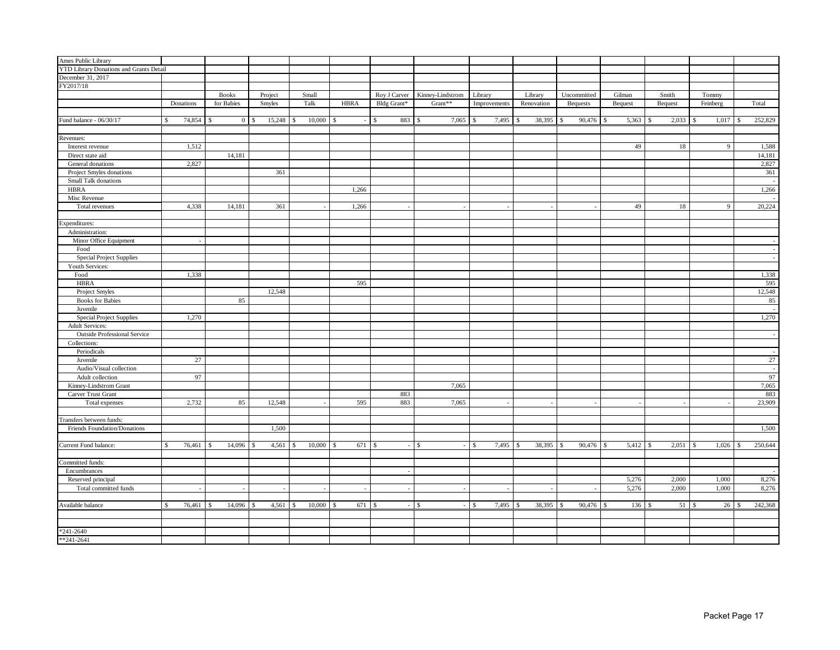| Ames Public Library                     |                            |              |                        |                         |             |                    |                  |                  |                         |                   |                   |                   |                    |         |
|-----------------------------------------|----------------------------|--------------|------------------------|-------------------------|-------------|--------------------|------------------|------------------|-------------------------|-------------------|-------------------|-------------------|--------------------|---------|
| YTD Library Donations and Grants Detail |                            |              |                        |                         |             |                    |                  |                  |                         |                   |                   |                   |                    |         |
| December 31, 2017                       |                            |              |                        |                         |             |                    |                  |                  |                         |                   |                   |                   |                    |         |
| FY2017/18                               |                            |              |                        |                         |             |                    |                  |                  |                         |                   |                   |                   |                    |         |
|                                         |                            | <b>Books</b> | Project                | Small                   |             | Roy J Carver       | Kinney-Lindstrom | Library          | Library                 | Uncommitted       | Gilman            | Smith             | Tommy              |         |
|                                         | Donations                  | for Babies   | Smyles                 | Talk                    | <b>HBRA</b> | Bldg Grant*        | Grant**          | Improvements     | Renovation              | <b>Bequests</b>   | Bequest           | <b>Bequest</b>    | Feinberg           | Total   |
|                                         |                            |              |                        |                         |             |                    |                  |                  |                         |                   |                   |                   |                    |         |
| Fund balance - 06/30/17                 | \$                         |              | $0 \mid$ \$            | $10,000$ \$             |             | 883<br>$ \sqrt{S}$ | -S               | 7,495            | 38,395<br>\$            | 90,476<br>-S      | 5,363<br><b>S</b> | -S                | $1,017$ \$         | 252,829 |
|                                         |                            |              |                        |                         |             |                    |                  |                  |                         |                   |                   |                   |                    |         |
| Revenues:                               |                            |              |                        |                         |             |                    |                  |                  |                         |                   |                   |                   |                    |         |
| Interest revenue                        | 1,512                      |              |                        |                         |             |                    |                  |                  |                         |                   | 49                | 18                | 9                  | 1,588   |
| Direct state aid                        |                            | 14,181       |                        |                         |             |                    |                  |                  |                         |                   |                   |                   |                    | 14,181  |
| General donations                       | 2,827                      |              |                        |                         |             |                    |                  |                  |                         |                   |                   |                   |                    | 2,827   |
| Project Smyles donations                |                            |              | 361                    |                         |             |                    |                  |                  |                         |                   |                   |                   |                    | 361     |
| Small Talk donations                    |                            |              |                        |                         |             |                    |                  |                  |                         |                   |                   |                   |                    |         |
| <b>HBRA</b>                             |                            |              |                        |                         | 1,266       |                    |                  |                  |                         |                   |                   |                   |                    | 1,266   |
| Misc Revenue                            |                            |              |                        |                         |             |                    |                  |                  |                         |                   |                   |                   |                    |         |
| Total revenues                          | 4,338                      | 14,181       | 361                    |                         | 1,266       |                    |                  |                  |                         |                   | 49                | 18                | $\mathbf{Q}$       | 20,224  |
|                                         |                            |              |                        |                         |             |                    |                  |                  |                         |                   |                   |                   |                    |         |
| Expenditures:                           |                            |              |                        |                         |             |                    |                  |                  |                         |                   |                   |                   |                    |         |
| Administration:                         |                            |              |                        |                         |             |                    |                  |                  |                         |                   |                   |                   |                    |         |
| Minor Office Equipment                  |                            |              |                        |                         |             |                    |                  |                  |                         |                   |                   |                   |                    |         |
| Food                                    |                            |              |                        |                         |             |                    |                  |                  |                         |                   |                   |                   |                    |         |
| <b>Special Project Supplies</b>         |                            |              |                        |                         |             |                    |                  |                  |                         |                   |                   |                   |                    |         |
| Youth Services:                         |                            |              |                        |                         |             |                    |                  |                  |                         |                   |                   |                   |                    |         |
| Food                                    | 1,338                      |              |                        |                         |             |                    |                  |                  |                         |                   |                   |                   |                    | 1,338   |
| <b>HBRA</b>                             |                            |              |                        |                         | 595         |                    |                  |                  |                         |                   |                   |                   |                    | 595     |
| Project Smyles                          |                            |              | 12,548                 |                         |             |                    |                  |                  |                         |                   |                   |                   |                    | 12,548  |
| <b>Books</b> for Babies                 |                            | 85           |                        |                         |             |                    |                  |                  |                         |                   |                   |                   |                    | 85      |
| Juvenile                                |                            |              |                        |                         |             |                    |                  |                  |                         |                   |                   |                   |                    |         |
| <b>Special Project Supplies</b>         | 1,270                      |              |                        |                         |             |                    |                  |                  |                         |                   |                   |                   |                    | 1,270   |
| <b>Adult Services:</b>                  |                            |              |                        |                         |             |                    |                  |                  |                         |                   |                   |                   |                    |         |
| <b>Outside Professional Service</b>     |                            |              |                        |                         |             |                    |                  |                  |                         |                   |                   |                   |                    |         |
| Collections:                            |                            |              |                        |                         |             |                    |                  |                  |                         |                   |                   |                   |                    |         |
| Periodicals                             |                            |              |                        |                         |             |                    |                  |                  |                         |                   |                   |                   |                    |         |
| Juvenile                                | 27                         |              |                        |                         |             |                    |                  |                  |                         |                   |                   |                   |                    | $27\,$  |
| Audio/Visual collection                 |                            |              |                        |                         |             |                    |                  |                  |                         |                   |                   |                   |                    |         |
| Adult collection                        | 97                         |              |                        |                         |             |                    |                  |                  |                         |                   |                   |                   |                    | 97      |
| Kinney-Lindstrom Grant                  |                            |              |                        |                         |             |                    | 7,065            |                  |                         |                   |                   |                   |                    | 7,065   |
| Carver Trust Grant                      |                            |              |                        |                         |             | 883                |                  |                  |                         |                   |                   |                   |                    | 883     |
| Total expenses                          | 2,732                      | 85           | 12,548                 |                         | 595         | 883                | 7,065            |                  |                         |                   | ÷.                |                   |                    | 23,909  |
|                                         |                            |              |                        |                         |             |                    |                  |                  |                         |                   |                   |                   |                    |         |
| Transfers between funds:                |                            |              |                        |                         |             |                    |                  |                  |                         |                   |                   |                   |                    |         |
| Friends Foundation/Donations            |                            |              | 1,500                  |                         |             |                    |                  |                  |                         |                   |                   |                   |                    | 1,500   |
|                                         |                            |              |                        |                         |             |                    |                  |                  |                         |                   |                   |                   |                    |         |
| Current Fund balance:                   | \$<br>76,461 \$            | 14,096       | 4,561<br>$\mathcal{S}$ | 10,000<br><sup>\$</sup> | -S          |                    | $-1$ \$          | 7,495<br>$-1$ \$ | 38,395<br><sup>\$</sup> | $90,476$ \$<br>-S | 5,412             | <b>S</b><br>2,051 | $1,026$ \$<br>- \$ | 250,644 |
|                                         |                            |              |                        |                         |             |                    |                  |                  |                         |                   |                   |                   |                    |         |
| Committed funds:                        |                            |              |                        |                         |             |                    |                  |                  |                         |                   |                   |                   |                    |         |
| Encumbrances                            |                            |              |                        |                         |             | $\sim$             |                  |                  |                         |                   |                   |                   |                    |         |
| Reserved principal                      |                            |              |                        |                         |             |                    |                  |                  |                         |                   | 5,276             | 2,000             | 1,000              | 8,276   |
| Total committed funds                   |                            | $\sim$       | $\sim$                 | $\overline{a}$          | $\sim$      | $\sim$             | $\sim$           | $\sim$           |                         |                   | 5,276             | 2,000             | 1,000              | 8,276   |
|                                         |                            |              |                        |                         |             |                    |                  |                  |                         |                   |                   |                   |                    |         |
| Available balance                       | 76,461 \$<br><sup>\$</sup> | $14,096$ \$  | $4,561$ \$             | $10,000$ \$             | 671 \$      |                    | $-1$ \$          | $-1$ \$<br>7,495 | 38,395<br>-8            | $90,476$ \$<br>-8 | $136$ \$          | $51 \quad$        | $26 \quad$         | 242,368 |
|                                         |                            |              |                        |                         |             |                    |                  |                  |                         |                   |                   |                   |                    |         |
|                                         |                            |              |                        |                         |             |                    |                  |                  |                         |                   |                   |                   |                    |         |
| $*241 - 2640$                           |                            |              |                        |                         |             |                    |                  |                  |                         |                   |                   |                   |                    |         |
| $*241-2641$                             |                            |              |                        |                         |             |                    |                  |                  |                         |                   |                   |                   |                    |         |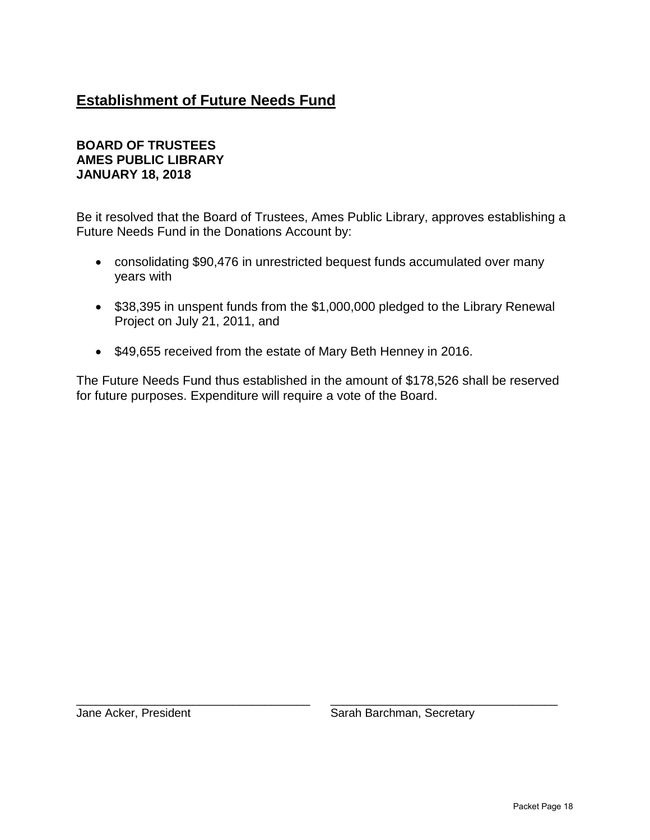## **Establishment of Future Needs Fund**

#### **BOARD OF TRUSTEES AMES PUBLIC LIBRARY JANUARY 18, 2018**

Be it resolved that the Board of Trustees, Ames Public Library, approves establishing a Future Needs Fund in the Donations Account by:

- consolidating \$90,476 in unrestricted bequest funds accumulated over many years with
- \$38,395 in unspent funds from the \$1,000,000 pledged to the Library Renewal Project on July 21, 2011, and
- \$49,655 received from the estate of Mary Beth Henney in 2016.

The Future Needs Fund thus established in the amount of \$178,526 shall be reserved for future purposes. Expenditure will require a vote of the Board.

\_\_\_\_\_\_\_\_\_\_\_\_\_\_\_\_\_\_\_\_\_\_\_\_\_\_\_\_\_\_\_\_\_\_\_\_ \_\_\_\_\_\_\_\_\_\_\_\_\_\_\_\_\_\_\_\_\_\_\_\_\_\_\_\_\_\_\_\_\_\_\_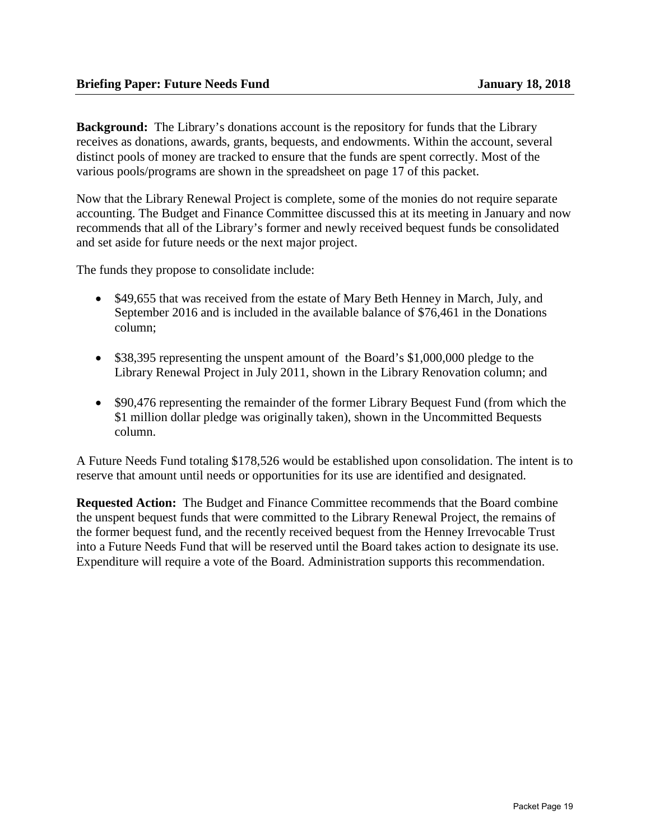**Background:** The Library's donations account is the repository for funds that the Library receives as donations, awards, grants, bequests, and endowments. Within the account, several distinct pools of money are tracked to ensure that the funds are spent correctly. Most of the various pools/programs are shown in the spreadsheet on page 17 of this packet.

Now that the Library Renewal Project is complete, some of the monies do not require separate accounting. The Budget and Finance Committee discussed this at its meeting in January and now recommends that all of the Library's former and newly received bequest funds be consolidated and set aside for future needs or the next major project.

The funds they propose to consolidate include:

- \$49,655 that was received from the estate of Mary Beth Henney in March, July, and September 2016 and is included in the available balance of \$76,461 in the Donations column;
- \$38,395 representing the unspent amount of the Board's \$1,000,000 pledge to the Library Renewal Project in July 2011, shown in the Library Renovation column; and
- \$90,476 representing the remainder of the former Library Bequest Fund (from which the \$1 million dollar pledge was originally taken), shown in the Uncommitted Bequests column.

A Future Needs Fund totaling \$178,526 would be established upon consolidation. The intent is to reserve that amount until needs or opportunities for its use are identified and designated.

**Requested Action:** The Budget and Finance Committee recommends that the Board combine the unspent bequest funds that were committed to the Library Renewal Project, the remains of the former bequest fund, and the recently received bequest from the Henney Irrevocable Trust into a Future Needs Fund that will be reserved until the Board takes action to designate its use. Expenditure will require a vote of the Board. Administration supports this recommendation.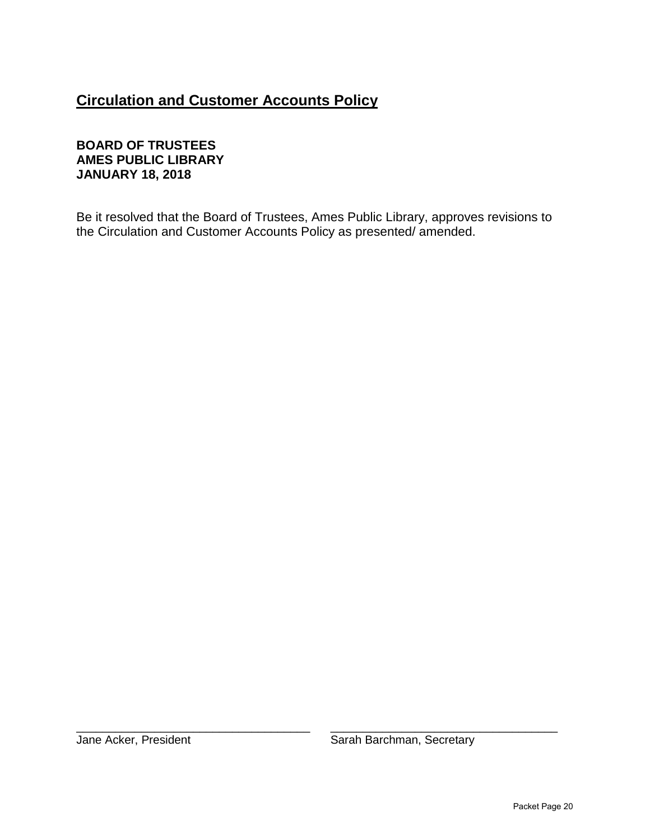## **Circulation and Customer Accounts Policy**

#### **BOARD OF TRUSTEES AMES PUBLIC LIBRARY JANUARY 18, 2018**

Be it resolved that the Board of Trustees, Ames Public Library, approves revisions to the Circulation and Customer Accounts Policy as presented/ amended.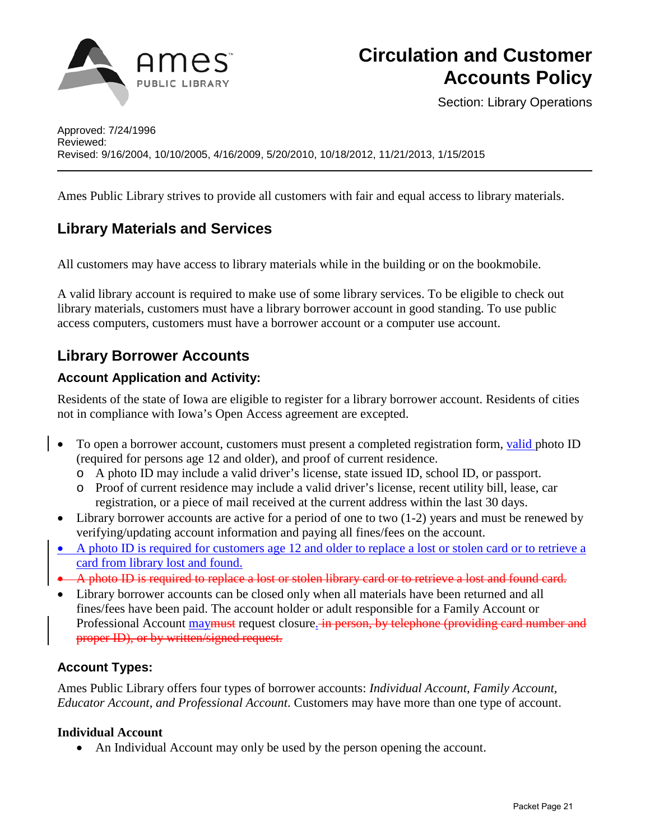

Section: Library Operations

Ames Public Library strives to provide all customers with fair and equal access to library materials.

## **Library Materials and Services**

All customers may have access to library materials while in the building or on the bookmobile.

A valid library account is required to make use of some library services. To be eligible to check out library materials, customers must have a library borrower account in good standing. To use public access computers, customers must have a borrower account or a computer use account.

## **Library Borrower Accounts**

#### **Account Application and Activity:**

Residents of the state of Iowa are eligible to register for a library borrower account. Residents of cities not in compliance with Iowa's Open Access agreement are excepted.

- To open a borrower account, customers must present a completed registration form, valid photo ID (required for persons age 12 and older), and proof of current residence.
	- o A photo ID may include a valid driver's license, state issued ID, school ID, or passport.
	- o Proof of current residence may include a valid driver's license, recent utility bill, lease, car registration, or a piece of mail received at the current address within the last 30 days.
- Library borrower accounts are active for a period of one to two (1-2) years and must be renewed by verifying/updating account information and paying all fines/fees on the account.
- A photo ID is required for customers age 12 and older to replace a lost or stolen card or to retrieve a card from library lost and found.
- A photo ID is required to replace a lost or stolen library card or to retrieve a lost and found card.
- Library borrower accounts can be closed only when all materials have been returned and all fines/fees have been paid. The account holder or adult responsible for a Family Account or Professional Account may must request closure. in person, by telephone (providing card number and proper ID), or by written/signed request.

#### **Account Types:**

Ames Public Library offers four types of borrower accounts: *Individual Account, Family Account, Educator Account, and Professional Account*. Customers may have more than one type of account.

#### **Individual Account**

• An Individual Account may only be used by the person opening the account.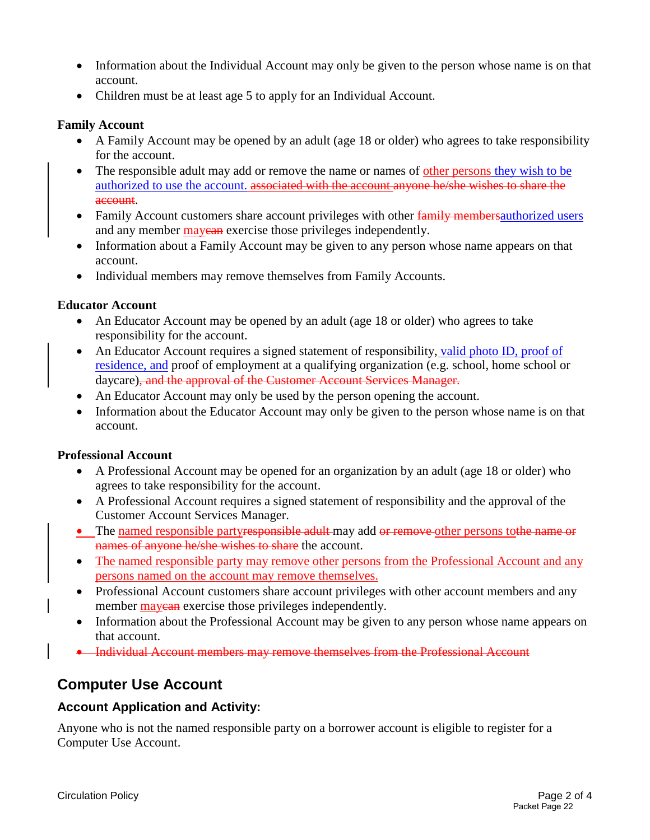- Information about the Individual Account may only be given to the person whose name is on that account.
- Children must be at least age 5 to apply for an Individual Account.

#### **Family Account**

- A Family Account may be opened by an adult (age 18 or older) who agrees to take responsibility for the account.
- The responsible adult may add or remove the name or names of other persons they wish to be authorized to use the account. associated with the account anyone he/she wishes to share the account.
- Family Account customers share account privileges with other family members authorized users and any member may can exercise those privileges independently.
- Information about a Family Account may be given to any person whose name appears on that account.
- Individual members may remove themselves from Family Accounts.

#### **Educator Account**

- An Educator Account may be opened by an adult (age 18 or older) who agrees to take responsibility for the account.
- An Educator Account requires a signed statement of responsibility, valid photo ID, proof of residence, and proof of employment at a qualifying organization (e.g. school, home school or daycare), and the approval of the Customer Account Services Manager.
- An Educator Account may only be used by the person opening the account.
- Information about the Educator Account may only be given to the person whose name is on that account.

#### **Professional Account**

- A Professional Account may be opened for an organization by an adult (age 18 or older) who agrees to take responsibility for the account.
- A Professional Account requires a signed statement of responsibility and the approval of the Customer Account Services Manager.
- The named responsible partyresponsible adult may add or remove other persons to the name or names of anyone he/she wishes to share the account.
- The named responsible party may remove other persons from the Professional Account and any persons named on the account may remove themselves.
- Professional Account customers share account privileges with other account members and any member **may exercise** those privileges independently.
- Information about the Professional Account may be given to any person whose name appears on that account.
- Individual Account members may remove themselves from the Professional Account

### **Computer Use Account**

#### **Account Application and Activity:**

Anyone who is not the named responsible party on a borrower account is eligible to register for a Computer Use Account.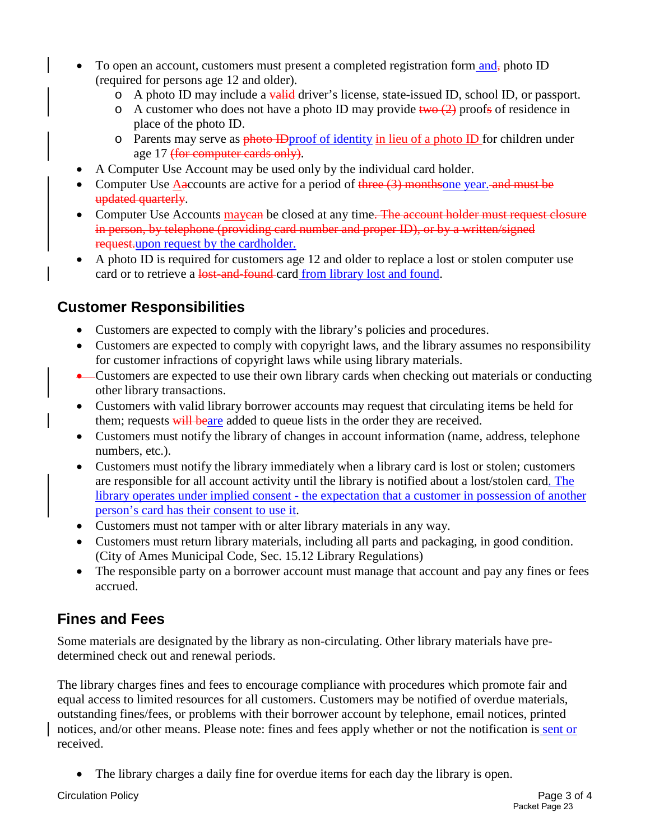- To open an account, customers must present a completed registration form  $\text{and}_{\tau}$  photo ID (required for persons age 12 and older).
	- $\circ$  A photo ID may include a valid driver's license, state-issued ID, school ID, or passport.
	- $\circ$  A customer who does not have a photo ID may provide two (2) proofs of residence in place of the photo ID.
	- o Parents may serve as photo ID proof of identity in lieu of a photo ID for children under age 17 (for computer cards only).
- A Computer Use Account may be used only by the individual card holder.
- Computer Use Aaccounts are active for a period of  $\frac{f}{f}$  and must be computer Use Aaccounts are active for a period of  $\frac{f}{f}$  and must be computer Use Aaccounts are active for a period of  $\frac{f}{f}$  and  $\frac{f}{f}$  a updated quarterly.
- Computer Use Accounts may earn be closed at any time. The account holder must request closure in person, by telephone (providing card number and proper ID), or by a written/signed request.upon request by the cardholder.
- A photo ID is required for customers age 12 and older to replace a lost or stolen computer use card or to retrieve a lost-and-found card from library lost and found.

## **Customer Responsibilities**

- Customers are expected to comply with the library's policies and procedures.
- Customers are expected to comply with copyright laws, and the library assumes no responsibility for customer infractions of copyright laws while using library materials.
- Customers are expected to use their own library cards when checking out materials or conducting other library transactions.
- Customers with valid library borrower accounts may request that circulating items be held for them; requests will beare added to queue lists in the order they are received.
- Customers must notify the library of changes in account information (name, address, telephone numbers, etc.).
- Customers must notify the library immediately when a library card is lost or stolen; customers are responsible for all account activity until the library is notified about a lost/stolen card. The library operates under implied consent - the expectation that a customer in possession of another person's card has their consent to use it.
- Customers must not tamper with or alter library materials in any way.
- Customers must return library materials, including all parts and packaging, in good condition. [\(City of Ames Municipal Code, Sec. 15.12 Library Regulations\)](http://38.106.5.41/modules/showdocument.aspx?documentid=270)
- The responsible party on a borrower account must manage that account and pay any fines or fees accrued.

### **Fines and Fees**

Some materials are designated by the library as non-circulating. Other library materials have predetermined check out and renewal periods.

The library charges fines and fees to encourage compliance with procedures which promote fair and equal access to limited resources for all customers. Customers may be notified of overdue materials, outstanding fines/fees, or problems with their borrower account by telephone, email notices, printed notices, and/or other means. Please note: fines and fees apply whether or not the notification is sent or received.

The library charges a daily fine for overdue items for each day the library is open.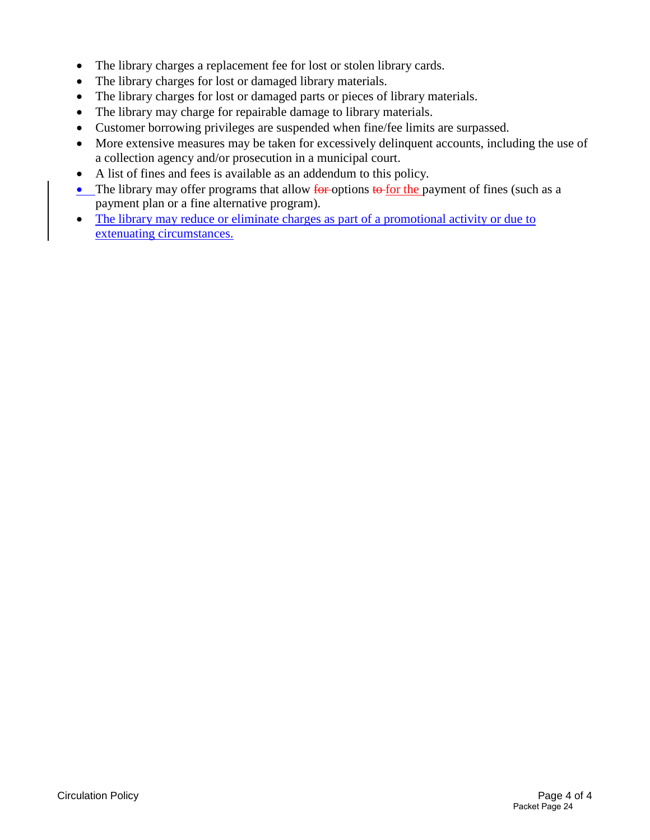- The library charges a replacement fee for lost or stolen library cards.
- The library charges for lost or damaged library materials.
- The library charges for lost or damaged parts or pieces of library materials.
- The library may charge for repairable damage to library materials.
- Customer borrowing privileges are suspended when fine/fee limits are surpassed.
- More extensive measures may be taken for excessively delinquent accounts, including the use of a collection agency and/or prosecution in a municipal court.
- A list of fines and fees is available as an addendum to this policy.
- The library may offer programs that allow  $\frac{1}{\pi}$  for the payment of fines (such as a payment plan or a fine alternative program).
- The library may reduce or eliminate charges as part of a promotional activity or due to extenuating circumstances.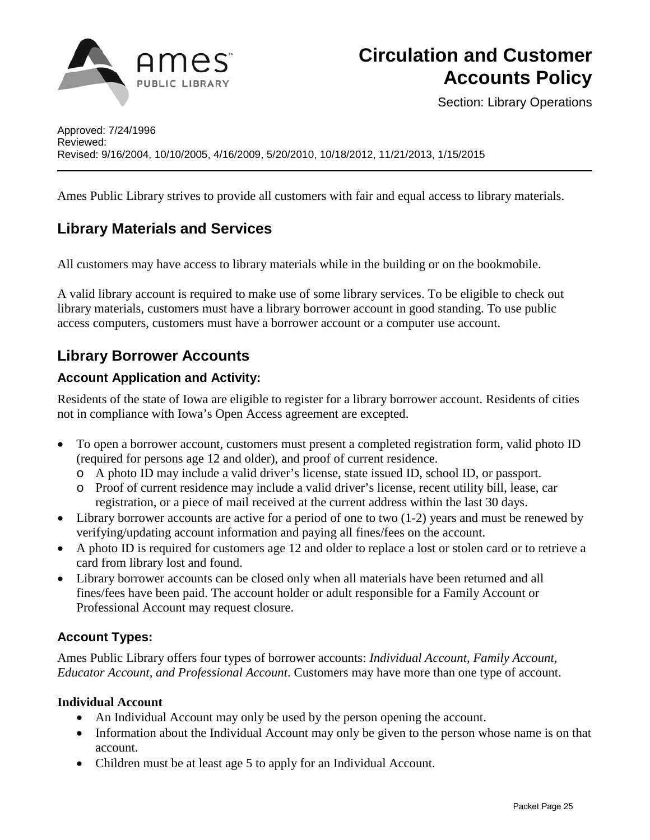

Section: Library Operations

Ames Public Library strives to provide all customers with fair and equal access to library materials.

## **Library Materials and Services**

All customers may have access to library materials while in the building or on the bookmobile.

A valid library account is required to make use of some library services. To be eligible to check out library materials, customers must have a library borrower account in good standing. To use public access computers, customers must have a borrower account or a computer use account.

## **Library Borrower Accounts**

#### **Account Application and Activity:**

Residents of the state of Iowa are eligible to register for a library borrower account. Residents of cities not in compliance with Iowa's Open Access agreement are excepted.

- To open a borrower account, customers must present a completed registration form, valid photo ID (required for persons age 12 and older), and proof of current residence.
	- o A photo ID may include a valid driver's license, state issued ID, school ID, or passport.
	- o Proof of current residence may include a valid driver's license, recent utility bill, lease, car registration, or a piece of mail received at the current address within the last 30 days.
- Library borrower accounts are active for a period of one to two (1-2) years and must be renewed by verifying/updating account information and paying all fines/fees on the account.
- A photo ID is required for customers age 12 and older to replace a lost or stolen card or to retrieve a card from library lost and found.
- Library borrower accounts can be closed only when all materials have been returned and all fines/fees have been paid. The account holder or adult responsible for a Family Account or Professional Account may request closure.

#### **Account Types:**

Ames Public Library offers four types of borrower accounts: *Individual Account, Family Account, Educator Account, and Professional Account*. Customers may have more than one type of account.

#### **Individual Account**

- An Individual Account may only be used by the person opening the account.
- Information about the Individual Account may only be given to the person whose name is on that account.
- Children must be at least age 5 to apply for an Individual Account.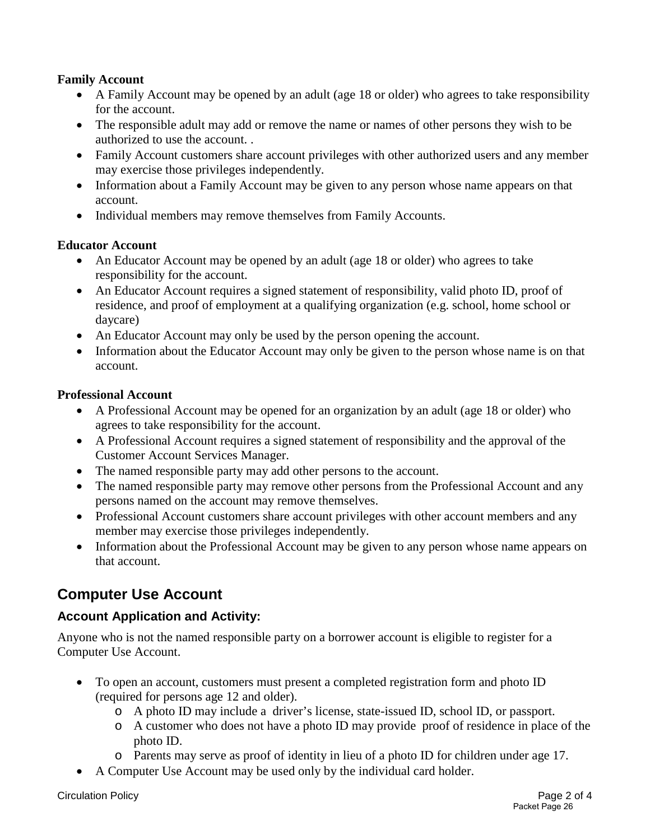#### **Family Account**

- A Family Account may be opened by an adult (age 18 or older) who agrees to take responsibility for the account.
- The responsible adult may add or remove the name or names of other persons they wish to be authorized to use the account. .
- Family Account customers share account privileges with other authorized users and any member may exercise those privileges independently.
- Information about a Family Account may be given to any person whose name appears on that account.
- Individual members may remove themselves from Family Accounts.

#### **Educator Account**

- An Educator Account may be opened by an adult (age 18 or older) who agrees to take responsibility for the account.
- An Educator Account requires a signed statement of responsibility, valid photo ID, proof of residence, and proof of employment at a qualifying organization (e.g. school, home school or daycare)
- An Educator Account may only be used by the person opening the account.
- Information about the Educator Account may only be given to the person whose name is on that account.

#### **Professional Account**

- A Professional Account may be opened for an organization by an adult (age 18 or older) who agrees to take responsibility for the account.
- A Professional Account requires a signed statement of responsibility and the approval of the Customer Account Services Manager.
- The named responsible party may add other persons to the account.
- The named responsible party may remove other persons from the Professional Account and any persons named on the account may remove themselves.
- Professional Account customers share account privileges with other account members and any member may exercise those privileges independently.
- Information about the Professional Account may be given to any person whose name appears on that account.

## **Computer Use Account**

#### **Account Application and Activity:**

Anyone who is not the named responsible party on a borrower account is eligible to register for a Computer Use Account.

- To open an account, customers must present a completed registration form and photo ID (required for persons age 12 and older).
	- o A photo ID may include a driver's license, state-issued ID, school ID, or passport.
	- o A customer who does not have a photo ID may provide proof of residence in place of the photo ID.
	- o Parents may serve as proof of identity in lieu of a photo ID for children under age 17.
- A Computer Use Account may be used only by the individual card holder.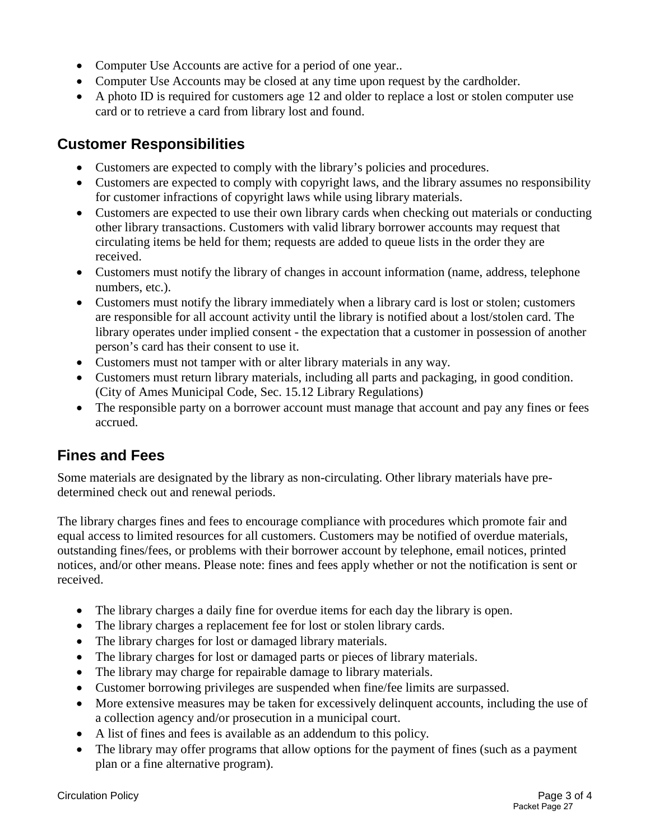- Computer Use Accounts are active for a period of one year..
- Computer Use Accounts may be closed at any time upon request by the cardholder.
- A photo ID is required for customers age 12 and older to replace a lost or stolen computer use card or to retrieve a card from library lost and found.

## **Customer Responsibilities**

- Customers are expected to comply with the library's policies and procedures.
- Customers are expected to comply with copyright laws, and the library assumes no responsibility for customer infractions of copyright laws while using library materials.
- Customers are expected to use their own library cards when checking out materials or conducting other library transactions. Customers with valid library borrower accounts may request that circulating items be held for them; requests are added to queue lists in the order they are received.
- Customers must notify the library of changes in account information (name, address, telephone numbers, etc.).
- Customers must notify the library immediately when a library card is lost or stolen; customers are responsible for all account activity until the library is notified about a lost/stolen card. The library operates under implied consent - the expectation that a customer in possession of another person's card has their consent to use it.
- Customers must not tamper with or alter library materials in any way.
- Customers must return library materials, including all parts and packaging, in good condition. [\(City of Ames Municipal Code, Sec. 15.12 Library Regulations\)](http://38.106.5.41/modules/showdocument.aspx?documentid=270)
- The responsible party on a borrower account must manage that account and pay any fines or fees accrued.

## **Fines and Fees**

Some materials are designated by the library as non-circulating. Other library materials have predetermined check out and renewal periods.

The library charges fines and fees to encourage compliance with procedures which promote fair and equal access to limited resources for all customers. Customers may be notified of overdue materials, outstanding fines/fees, or problems with their borrower account by telephone, email notices, printed notices, and/or other means. Please note: fines and fees apply whether or not the notification is sent or received.

- The library charges a daily fine for overdue items for each day the library is open.
- The library charges a replacement fee for lost or stolen library cards.
- The library charges for lost or damaged library materials.
- The library charges for lost or damaged parts or pieces of library materials.
- The library may charge for repairable damage to library materials.
- Customer borrowing privileges are suspended when fine/fee limits are surpassed.
- More extensive measures may be taken for excessively delinquent accounts, including the use of a collection agency and/or prosecution in a municipal court.
- A list of fines and fees is available as an addendum to this policy.
- The library may offer programs that allow options for the payment of fines (such as a payment plan or a fine alternative program).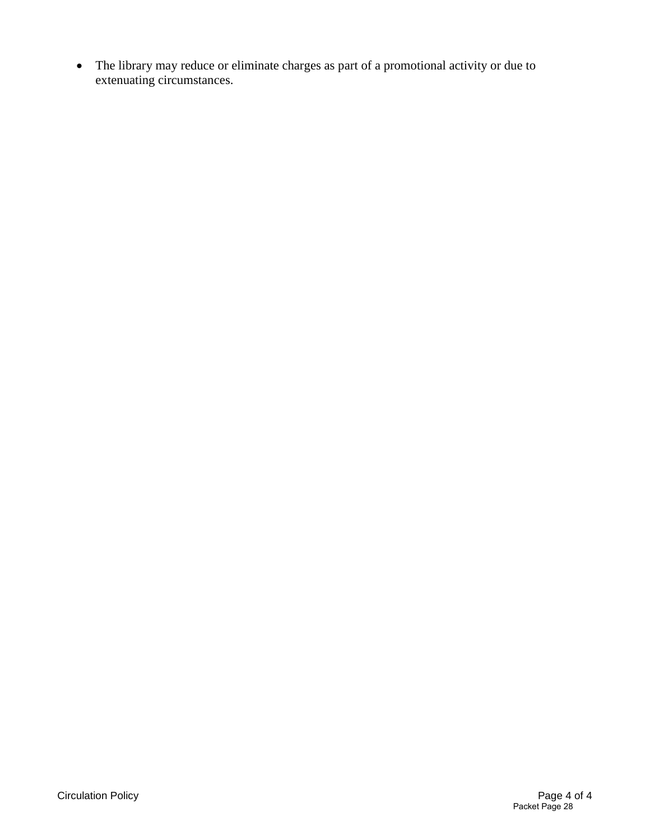• The library may reduce or eliminate charges as part of a promotional activity or due to extenuating circumstances.